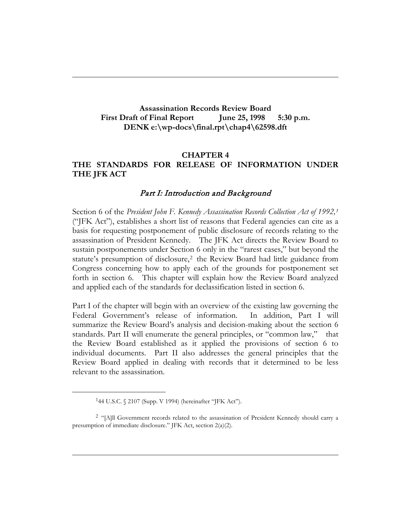**Assassination Records Review Board** First Draft of Final Report June 25, 1998 5:30 p.m. **DENK e:\wp-docs\final.rpt\chap4\62598.dft**

### **CHAPTER 4 THE STANDARDS FOR RELEASE OF INFORMATION UNDER THE JFK ACT**

#### Part I: Introduction and Background

Section 6 of the *President John F. Kennedy Assassination Records Collection Act of 1992,[1](#page-0-0)* ("JFK Act"), establishes a short list of reasons that Federal agencies can cite as a basis for requesting postponement of public disclosure of records relating to the assassination of President Kennedy. The JFK Act directs the Review Board to sustain postponements under Section 6 only in the "rarest cases," but beyond the statute's presumption of disclosure,<sup>[2](#page-0-1)</sup> the Review Board had little guidance from Congress concerning how to apply each of the grounds for postponement set forth in section 6. This chapter will explain how the Review Board analyzed and applied each of the standards for declassification listed in section 6.

Part I of the chapter will begin with an overview of the existing law governing the Federal Government's release of information. In addition, Part I will summarize the Review Board's analysis and decision-making about the section 6 standards. Part II will enumerate the general principles, or "common law," that the Review Board established as it applied the provisions of section 6 to individual documents. Part II also addresses the general principles that the Review Board applied in dealing with records that it determined to be less relevant to the assassination.

<sup>144</sup> U.S.C. § 2107 (Supp. V 1994) (hereinafter "JFK Act").

<span id="page-0-1"></span><span id="page-0-0"></span><sup>2</sup> "[A]ll Government records related to the assassination of President Kennedy should carry a presumption of immediate disclosure." JFK Act, section 2(a)(2).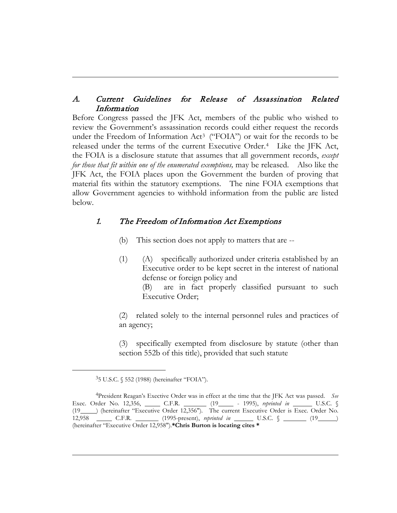# A. Current Guidelines for Release of Assassination Related Information

Before Congress passed the JFK Act, members of the public who wished to review the Government's assassination records could either request the records under the Freedom of Information Act<sup>[3](#page-1-0)</sup> ("FOIA") or wait for the records to be released under the terms of the current Executive Order.[4](#page-1-1) Like the JFK Act, the FOIA is a disclosure statute that assumes that all government records, *except for those that fit within one of the enumerated exemptions,* may be released. Also like the JFK Act, the FOIA places upon the Government the burden of proving that material fits within the statutory exemptions. The nine FOIA exemptions that allow Government agencies to withhold information from the public are listed below.

## 1. The Freedom of Information Act Exemptions

- (b) This section does not apply to matters that are --
- (1) (A) specifically authorized under criteria established by an Executive order to be kept secret in the interest of national defense or foreign policy and (B) are in fact properly classified pursuant to such Executive Order;

(2) related solely to the internal personnel rules and practices of an agency;

(3) specifically exempted from disclosure by statute (other than section 552b of this title), provided that such statute

<sup>35</sup> U.S.C. § 552 (1988) (hereinafter "FOIA").

<span id="page-1-1"></span><span id="page-1-0"></span><sup>4</sup>President Reagan's Exective Order was in effect at the time that the JFK Act was passed. *See* Exec. Order No. 12,356, C.F.R. (19 - 1995), *reprinted in* U.S.C. § (19\_\_\_\_\_) (hereinafter "Executive Order 12,356"). The current Executive Order is Exec. Order No. 12,958 C.F.R. (1995-present), *reprinted in* U.S.C. § (19 (19 ) (hereinafter "Executive Order 12,958").**\*Chris Burton is locating cites \***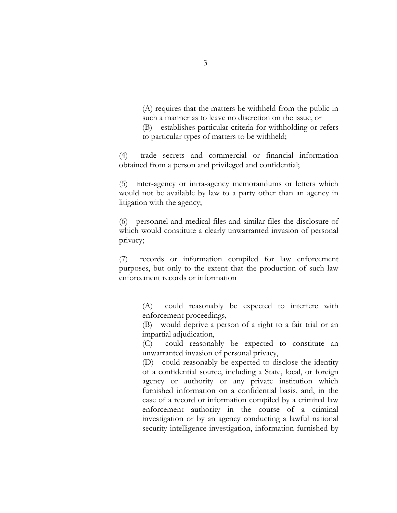(A) requires that the matters be withheld from the public in such a manner as to leave no discretion on the issue, or (B) establishes particular criteria for withholding or refers to particular types of matters to be withheld;

(4) trade secrets and commercial or financial information obtained from a person and privileged and confidential;

(5) inter-agency or intra-agency memorandums or letters which would not be available by law to a party other than an agency in litigation with the agency;

(6) personnel and medical files and similar files the disclosure of which would constitute a clearly unwarranted invasion of personal privacy;

(7) records or information compiled for law enforcement purposes, but only to the extent that the production of such law enforcement records or information

> (A) could reasonably be expected to interfere with enforcement proceedings,

> (B) would deprive a person of a right to a fair trial or an impartial adjudication,

> (C) could reasonably be expected to constitute an unwarranted invasion of personal privacy,

> (D) could reasonably be expected to disclose the identity of a confidential source, including a State, local, or foreign agency or authority or any private institution which furnished information on a confidential basis, and, in the case of a record or information compiled by a criminal law enforcement authority in the course of a criminal investigation or by an agency conducting a lawful national security intelligence investigation, information furnished by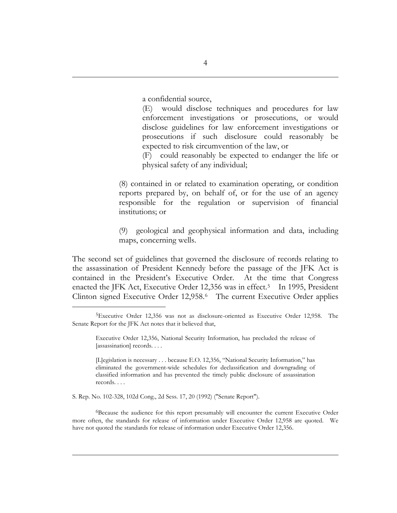a confidential source,

(E) would disclose techniques and procedures for law enforcement investigations or prosecutions, or would disclose guidelines for law enforcement investigations or prosecutions if such disclosure could reasonably be expected to risk circumvention of the law, or

(F) could reasonably be expected to endanger the life or physical safety of any individual;

(8) contained in or related to examination operating, or condition reports prepared by, on behalf of, or for the use of an agency responsible for the regulation or supervision of financial institutions; or

(9) geological and geophysical information and data, including maps, concerning wells.

The second set of guidelines that governed the disclosure of records relating to the assassination of President Kennedy before the passage of the JFK Act is contained in the President's Executive Order. At the time that Congress enacted the JFK Act, Executive Order 12,356 was in effect.<sup>5</sup> In 1995, President Clinton signed Executive Order 12,958.[6](#page-3-1) The current Executive Order applies

[L]egislation is necessary . . . because E.O. 12,356, "National Security Information," has eliminated the government-wide schedules for declassification and downgrading of classified information and has prevented the timely public disclosure of assassination records. . . .

S. Rep. No. 102-328, 102d Cong., 2d Sess. 17, 20 (1992) ("Senate Report").

 $\overline{a}$ 

<span id="page-3-1"></span>6Because the audience for this report presumably will encounter the current Executive Order more often, the standards for release of information under Executive Order 12,958 are quoted. We have not quoted the standards for release of information under Executive Order 12,356.

<span id="page-3-0"></span><sup>5</sup>Executive Order 12,356 was not as disclosure-oriented as Executive Order 12,958. The Senate Report for the JFK Act notes that it believed that,

Executive Order 12,356, National Security Information, has precluded the release of [assassination] records. . . .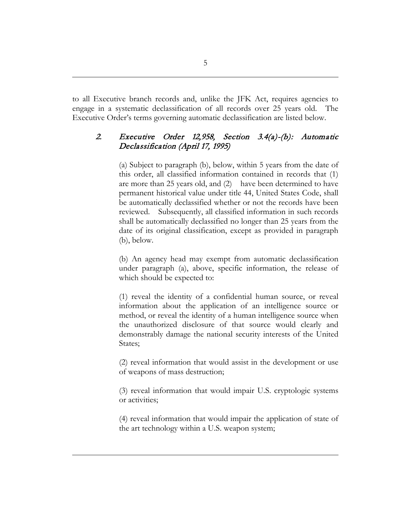to all Executive branch records and, unlike the JFK Act, requires agencies to engage in a systematic declassification of all records over 25 years old. The Executive Order's terms governing automatic declassification are listed below.

## 2. Executive Order 12,958, Section 3.4(a)-(b): Automatic Declassification (April 17, 1995)

(a) Subject to paragraph (b), below, within 5 years from the date of this order, all classified information contained in records that (1) are more than 25 years old, and (2) have been determined to have permanent historical value under title 44, United States Code, shall be automatically declassified whether or not the records have been reviewed. Subsequently, all classified information in such records shall be automatically declassified no longer than 25 years from the date of its original classification, except as provided in paragraph (b), below.

(b) An agency head may exempt from automatic declassification under paragraph (a), above, specific information, the release of which should be expected to:

(1) reveal the identity of a confidential human source, or reveal information about the application of an intelligence source or method, or reveal the identity of a human intelligence source when the unauthorized disclosure of that source would clearly and demonstrably damage the national security interests of the United States;

(2) reveal information that would assist in the development or use of weapons of mass destruction;

(3) reveal information that would impair U.S. cryptologic systems or activities;

(4) reveal information that would impair the application of state of the art technology within a U.S. weapon system;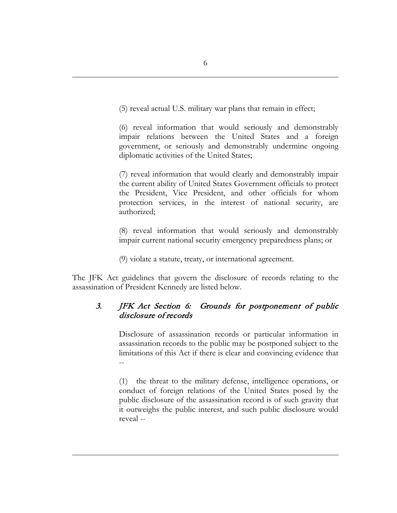(5) reveal actual U.S. military war plans that remain in effect;

(6) reveal information that would seriously and demonstrably impair relations between the United States and a foreign government, or seriously and demonstrably undermine ongoing diplomatic activities of the United States;

(7) reveal information that would clearly and demonstrably impair the current ability of United States Government officials to protect the President, Vice President, and other officials for whom protection services, in the interest of national security, are authorized;

(8) reveal information that would seriously and demonstrably impair current national security emergency preparedness plans; or

(9) violate a statute, treaty, or international agreement.

The JFK Act guidelines that govern the disclosure of records relating to the assassination of President Kennedy are listed below.

## 3. JFK Act Section 6: Grounds for postponement of public disclosure of records

Disclosure of assassination records or particular information in assassination records to the public may be postponed subject to the limitations of this Act if there is clear and convincing evidence that --

(1) the threat to the military defense, intelligence operations, or conduct of foreign relations of the United States posed by the public disclosure of the assassination record is of such gravity that it outweighs the public interest, and such public disclosure would reveal --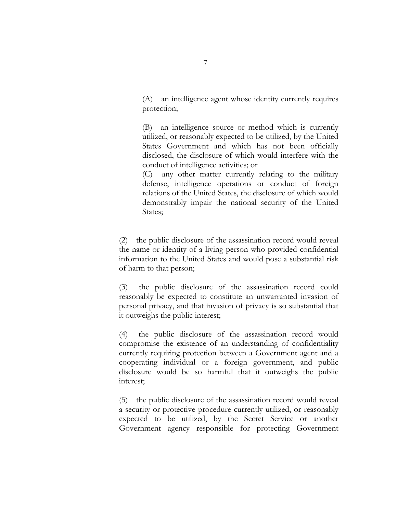(A) an intelligence agent whose identity currently requires protection;

(B) an intelligence source or method which is currently utilized, or reasonably expected to be utilized, by the United States Government and which has not been officially disclosed, the disclosure of which would interfere with the conduct of intelligence activities; or

(C) any other matter currently relating to the military defense, intelligence operations or conduct of foreign relations of the United States, the disclosure of which would demonstrably impair the national security of the United States;

(2) the public disclosure of the assassination record would reveal the name or identity of a living person who provided confidential information to the United States and would pose a substantial risk of harm to that person;

(3) the public disclosure of the assassination record could reasonably be expected to constitute an unwarranted invasion of personal privacy, and that invasion of privacy is so substantial that it outweighs the public interest;

(4) the public disclosure of the assassination record would compromise the existence of an understanding of confidentiality currently requiring protection between a Government agent and a cooperating individual or a foreign government, and public disclosure would be so harmful that it outweighs the public interest;

(5) the public disclosure of the assassination record would reveal a security or protective procedure currently utilized, or reasonably expected to be utilized, by the Secret Service or another Government agency responsible for protecting Government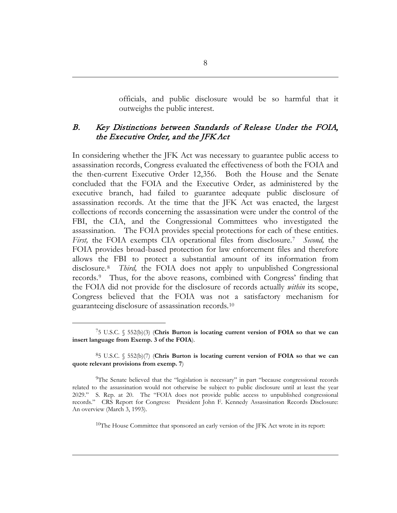officials, and public disclosure would be so harmful that it outweighs the public interest.

## B. Key Distinctions between Standards of Release Under the FOIA, the Executive Order, and the JFK Act

In considering whether the JFK Act was necessary to guarantee public access to assassination records, Congress evaluated the effectiveness of both the FOIA and the then-current Executive Order 12,356. Both the House and the Senate concluded that the FOIA and the Executive Order, as administered by the executive branch, had failed to guarantee adequate public disclosure of assassination records. At the time that the JFK Act was enacted, the largest collections of records concerning the assassination were under the control of the FBI, the CIA, and the Congressional Committees who investigated the assassination. The FOIA provides special protections for each of these entities. *First,* the FOIA exempts CIA operational files from disclosure.[7](#page-7-0) *Second,* the FOIA provides broad-based protection for law enforcement files and therefore allows the FBI to protect a substantial amount of its information from disclosure.<sup>[8](#page-7-1)</sup> *Third*, the FOIA does not apply to unpublished Congressional records.[9](#page-7-2) Thus, for the above reasons, combined with Congress' finding that the FOIA did not provide for the disclosure of records actually *within* its scope, Congress believed that the FOIA was not a satisfactory mechanism for guaranteeing disclosure of assassination records.[10](#page-7-3)

 $\overline{a}$ 

<sup>10</sup>The House Committee that sponsored an early version of the JFK Act wrote in its report:

<span id="page-7-0"></span><sup>75</sup> U.S.C. § 552(b)(3) (**Chris Burton is locating current version of FOIA so that we can insert language from Exemp. 3 of the FOIA**).

<span id="page-7-1"></span><sup>85</sup> U.S.C. § 552(b)(7) (**Chris Burton is locating current version of FOIA so that we can quote relevant provisions from exemp. 7**)

<span id="page-7-3"></span><span id="page-7-2"></span><sup>9</sup>The Senate believed that the "legislation is necessary" in part "because congressional records related to the assassination would not otherwise be subject to public disclosure until at least the year 2029." S. Rep. at 20. The "FOIA does not provide public access to unpublished congressional records." CRS Report for Congress: President John F. Kennedy Assassination Records Disclosure: An overview (March 3, 1993).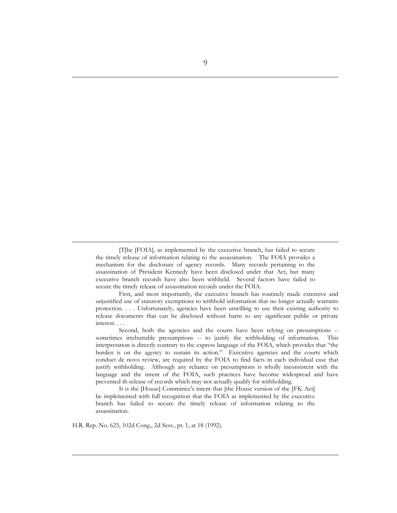[T]he [FOIA], as implemented by the executive branch, has failed to secure the timely release of information relating to the assassination. The FOIA provides a mechanism for the disclosure of agency records. Many records pertaining to the assassination of President Kennedy have been disclosed under that Act, but many executive branch records have also been withheld. Several factors have failed to secure the timely release of assassination records under the FOIA.

First, and most importantly, the executive branch has routinely made extensive and unjustified use of statutory exemptions to withhold information that no longer actually warrants protection. . . . Unfortunately, agencies have been unwilling to use their existing authority to release documents that can be disclosed without harm to any significant public or private interest. . . .

Second, both the agencies and the courts have been relying on presumptions - sometimes irrebuttable presumptions -- to justify the withholding of information. This interpretation is directly contrary to the express language of the FOIA, which provides that "the burden is on the agency to sustain its action." Executive agencies and the courts which conduct de novo review, are required by the FOIA to find facts in each individual case that justify withholding. Although any reliance on presumptions is wholly inconsistent with the language and the intent of the FOIA, such practices have become widespread and have prevented th release of records which may not actually qualify for withholding.

It is the [House] Committee's intent that [the House version of the JFK Act] be implemented with full recognition that the FOIA as implemented by the executive branch has failed to secure the timely release of information relating to the assassination.

H.R. Rep. No. 625, 102d Cong., 2d Sess., pt. 1, at 18 (1992).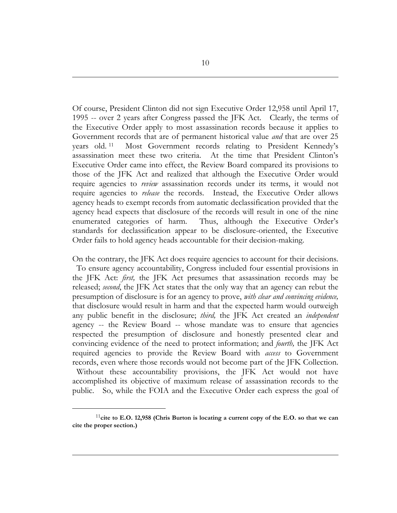Of course, President Clinton did not sign Executive Order 12,958 until April 17, 1995 -- over 2 years after Congress passed the JFK Act. Clearly, the terms of the Executive Order apply to most assassination records because it applies to Government records that are of permanent historical value *and* that are over 25 years old. [11](#page-9-0) Most Government records relating to President Kennedy's assassination meet these two criteria. At the time that President Clinton's Executive Order came into effect, the Review Board compared its provisions to those of the JFK Act and realized that although the Executive Order would require agencies to *review* assassination records under its terms, it would not require agencies to *release* the records. Instead, the Executive Order allows agency heads to exempt records from automatic declassification provided that the agency head expects that disclosure of the records will result in one of the nine enumerated categories of harm. Thus, although the Executive Order's standards for declassification appear to be disclosure-oriented, the Executive Order fails to hold agency heads accountable for their decision-making.

On the contrary, the JFK Act does require agencies to account for their decisions. To ensure agency accountability, Congress included four essential provisions in the JFK Act: *first,* the JFK Act presumes that assassination records may be released; *second*, the JFK Act states that the only way that an agency can rebut the presumption of disclosure is for an agency to prove, *with clear and convincing evidence,*  that disclosure would result in harm and that the expected harm would outweigh any public benefit in the disclosure; *third,* the JFK Act created an *independent*  agency -- the Review Board -- whose mandate was to ensure that agencies respected the presumption of disclosure and honestly presented clear and convincing evidence of the need to protect information; and *fourth,* the JFK Act required agencies to provide the Review Board with *access* to Government records, even where those records would not become part of the JFK Collection.

Without these accountability provisions, the JFK Act would not have accomplished its objective of maximum release of assassination records to the public. So, while the FOIA and the Executive Order each express the goal of

<span id="page-9-0"></span><sup>&</sup>lt;sup>11</sup>cite to E.O. 12,958 (Chris Burton is locating a current copy of the E.O. so that we can **cite the proper section.)**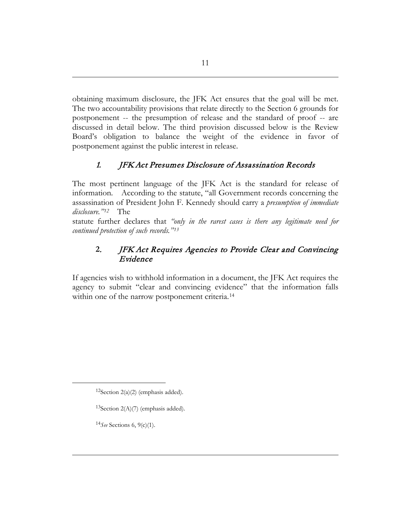obtaining maximum disclosure, the JFK Act ensures that the goal will be met. The two accountability provisions that relate directly to the Section 6 grounds for postponement -- the presumption of release and the standard of proof -- are discussed in detail below. The third provision discussed below is the Review Board's obligation to balance the weight of the evidence in favor of postponement against the public interest in release.

# 1. JFK Act Presumes Disclosure of Assassination Records

The most pertinent language of the JFK Act is the standard for release of information. According to the statute, "all Government records concerning the assassination of President John F. Kennedy should carry a *presumption of immediate disclosure."[12](#page-10-0)* The

statute further declares that *"only in the rarest cases is there any legitimate need for continued protection of such records."[13](#page-10-1)*

# **2**. JFK Act Requires Agencies to Provide Clear and Convincing Evidence

If agencies wish to withhold information in a document, the JFK Act requires the agency to submit "clear and convincing evidence" that the information falls within one of the narrow postponement criteria.<sup>[14](#page-10-2)</sup>

<span id="page-10-0"></span> $12$ Section 2(a)(2) (emphasis added).

<span id="page-10-1"></span><sup>&</sup>lt;sup>13</sup>Section 2(A)(7) (emphasis added).

<span id="page-10-2"></span><sup>14</sup>*See* Sections 6, 9(c)(1).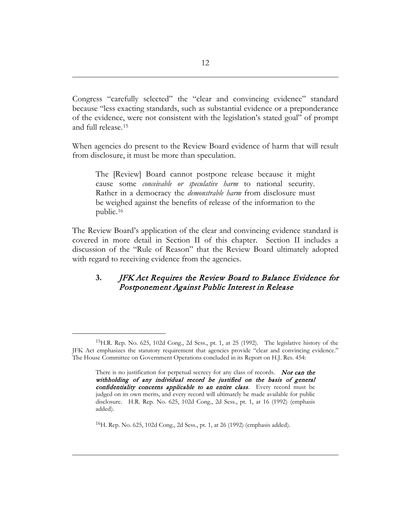Congress "carefully selected" the "clear and convincing evidence" standard because "less exacting standards, such as substantial evidence or a preponderance of the evidence, were not consistent with the legislation's stated goal" of prompt and full release.[15](#page-11-0)

When agencies do present to the Review Board evidence of harm that will result from disclosure, it must be more than speculation.

The [Review] Board cannot postpone release because it might cause some *conceivable or speculative harm* to national security. Rather in a democracy the *demonstrable harm* from disclosure must be weighed against the benefits of release of the information to the public.[16](#page-11-1) 

The Review Board's application of the clear and convincing evidence standard is covered in more detail in Section II of this chapter. Section II includes a discussion of the "Rule of Reason" that the Review Board ultimately adopted with regard to receiving evidence from the agencies.

# **3.** JFK Act Requires the Review Board to Balance Evidence for Postponement Against Public Interest in Release

<span id="page-11-0"></span><sup>15</sup>H.R. Rep. No. 625, 102d Cong., 2d Sess., pt. 1, at 25 (1992). The legislative history of the JFK Act emphasizes the statutory requirement that agencies provide "clear and convincing evidence." The House Committee on Government Operations concluded in its Report on H.J. Res. 454:

There is no justification for perpetual secrecy for any class of records. Nor can the withholding of any individual record be justified on the basis of general confidentiality concerns applicable to an entire class. Every record must be judged on its own merits, and every record will ultimately be made available for public disclosure. H.R. Rep. No. 625, 102d Cong., 2d Sess., pt. 1, at 16 (1992) (emphasis added).

<span id="page-11-1"></span><sup>16</sup>H. Rep. No. 625, 102d Cong., 2d Sess., pt. 1, at 26 (1992) (emphasis added).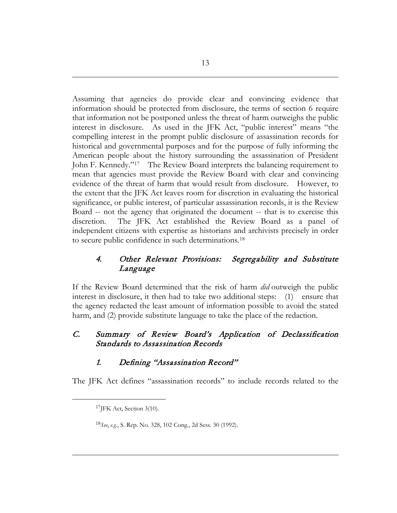Assuming that agencies do provide clear and convincing evidence that information should be protected from disclosure, the terms of section 6 require that information not be postponed unless the threat of harm outweighs the public interest in disclosure. As used in the JFK Act, "public interest" means "the compelling interest in the prompt public disclosure of assassination records for historical and governmental purposes and for the purpose of fully informing the American people about the history surrounding the assassination of President John F. Kennedy."[17](#page-12-0) The Review Board interprets the balancing requirement to mean that agencies must provide the Review Board with clear and convincing evidence of the threat of harm that would result from disclosure. However, to the extent that the JFK Act leaves room for discretion in evaluating the historical significance, or public interest, of particular assassination records, it is the Review Board -- not the agency that originated the document -- that is to exercise this discretion. The JFK Act established the Review Board as a panel of independent citizens with expertise as historians and archivists precisely in order to secure public confidence in such determinations.[18](#page-12-1)

# 4. Other Relevant Provisions: Segregability and Substitute Language

If the Review Board determined that the risk of harm *did* outweigh the public interest in disclosure, it then had to take two additional steps: (1) ensure that the agency redacted the least amount of information possible to avoid the stated harm, and (2) provide substitute language to take the place of the redaction.

# C. Summary of Review Board's Application of Declassification Standards to Assassination Records

### 1. Defining "Assassination Record"

<span id="page-12-1"></span><span id="page-12-0"></span>The JFK Act defines "assassination records" to include records related to the

<sup>&</sup>lt;sup>17</sup>JFK Act, Section 3(10).

<sup>18</sup>*See*, *e.g.*, S. Rep. No. 328, 102 Cong., 2d Sess. 30 (1992).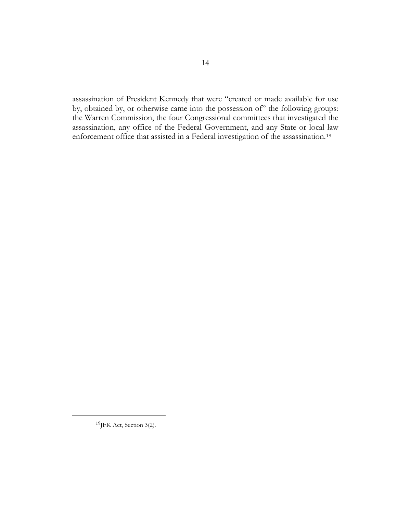assassination of President Kennedy that were "created or made available for use by, obtained by, or otherwise came into the possession of" the following groups: the Warren Commission, the four Congressional committees that investigated the assassination, any office of the Federal Government, and any State or local law enforcement office that assisted in a Federal investigation of the assassination.[19](#page-13-0)

<span id="page-13-0"></span>19JFK Act, Section 3(2).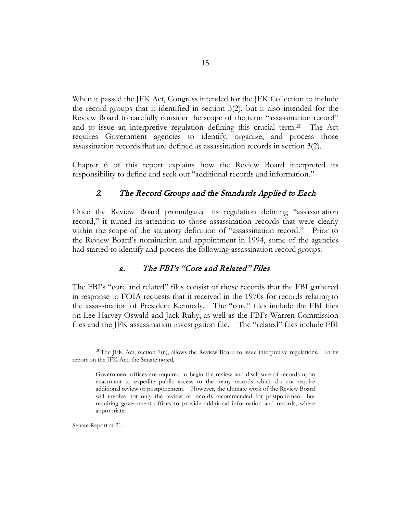When it passed the JFK Act, Congress intended for the JFK Collection to include the record groups that it identified in section 3(2), but it also intended for the Review Board to carefully consider the scope of the term "assassination record" and to issue an interpretive regulation defining this crucial term.[20](#page-14-0) The Act requires Government agencies to identify, organize, and process those assassination records that are defined as assassination records in section 3(2).

Chapter 6 of this report explains how the Review Board interpreted its responsibility to define and seek out "additional records and information."

# 2. The Record Groups and the Standards Applied to Each

Once the Review Board promulgated its regulation defining "assassination record," it turned its attention to those assassination records that were clearly within the scope of the statutory definition of "assassination record." Prior to the Review Board's nomination and appointment in 1994, some of the agencies had started to identify and process the following assassination record groups:

### a. The FBI's "Core and Related" Files

The FBI's "core and related" files consist of those records that the FBI gathered in response to FOIA requests that it received in the 1970s for records relating to the assassination of President Kennedy. The "core" files include the FBI files on Lee Harvey Oswald and Jack Ruby, as well as the FBI's Warren Commission files and the JFK assassination investigation file. The "related" files include FBI

Senate Report at 21.

<span id="page-14-0"></span> $20$ The JFK Act, section 7(n), allows the Review Board to issue interpretive regulations. In its report on the JFK Act, the Senate noted,

Government offices are required to begin the review and disclosure of records upon enactment to expedite public access to the many records which do not require additional review or postponement. However, the ultimate work of the Review Board will involve not only the review of records recommended for postponement, but requiring government offices to provide additional information and records, where appropriate.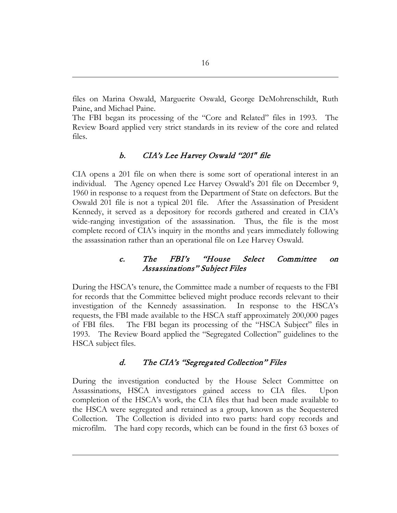files on Marina Oswald, Marguerite Oswald, George DeMohrenschildt, Ruth Paine, and Michael Paine.

The FBI began its processing of the "Core and Related" files in 1993. The Review Board applied very strict standards in its review of the core and related files.

# b. CIA's Lee Harvey Oswald "201" file

CIA opens a 201 file on when there is some sort of operational interest in an individual. The Agency opened Lee Harvey Oswald's 201 file on December 9, 1960 in response to a request from the Department of State on defectors. But the Oswald 201 file is not a typical 201 file. After the Assassination of President Kennedy, it served as a depository for records gathered and created in CIA's wide-ranging investigation of the assassination. Thus, the file is the most complete record of CIA's inquiry in the months and years immediately following the assassination rather than an operational file on Lee Harvey Oswald.

## c. The FBI's "House Select Committee on Assassinations" Subject Files

During the HSCA's tenure, the Committee made a number of requests to the FBI for records that the Committee believed might produce records relevant to their investigation of the Kennedy assassination. In response to the HSCA's requests, the FBI made available to the HSCA staff approximately 200,000 pages of FBI files. The FBI began its processing of the "HSCA Subject" files in 1993. The Review Board applied the "Segregated Collection" guidelines to the HSCA subject files.

# d. The CIA's "Segregated Collection" Files

During the investigation conducted by the House Select Committee on Assassinations, HSCA investigators gained access to CIA files. Upon completion of the HSCA's work, the CIA files that had been made available to the HSCA were segregated and retained as a group, known as the Sequestered Collection. The Collection is divided into two parts: hard copy records and microfilm. The hard copy records, which can be found in the first 63 boxes of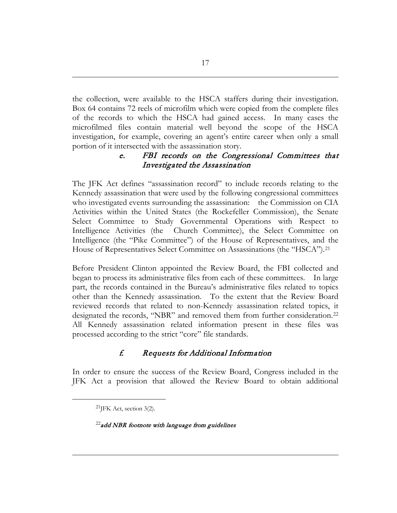the collection, were available to the HSCA staffers during their investigation. Box 64 contains 72 reels of microfilm which were copied from the complete files of the records to which the HSCA had gained access. In many cases the microfilmed files contain material well beyond the scope of the HSCA investigation, for example, covering an agent's entire career when only a small portion of it intersected with the assassination story.

# e. FBI records on the Congressional Committees that Investigated the Assassination

The JFK Act defines "assassination record" to include records relating to the Kennedy assassination that were used by the following congressional committees who investigated events surrounding the assassination: the Commission on CIA Activities within the United States (the Rockefeller Commission), the Senate Select Committee to Study Governmental Operations with Respect to Intelligence Activities (the Church Committee), the Select Committee on Intelligence (the "Pike Committee") of the House of Representatives, and the House of Representatives Select Committee on Assassinations (the "HSCA").<sup>[21](#page-16-0)</sup>

Before President Clinton appointed the Review Board, the FBI collected and began to process its administrative files from each of these committees. In large part, the records contained in the Bureau's administrative files related to topics other than the Kennedy assassination. To the extent that the Review Board reviewed records that related to non-Kennedy assassination related topics, it designated the records, "NBR" and removed them from further consideration.[22](#page-16-1) All Kennedy assassination related information present in these files was processed according to the strict "core" file standards.

# f. Requests for Additional Information

In order to ensure the success of the Review Board, Congress included in the JFK Act a provision that allowed the Review Board to obtain additional

<span id="page-16-1"></span><span id="page-16-0"></span> $\overline{a}$ 

 $^{22}$ add NBR footnote with language from guidelines

<sup>21</sup>JFK Act, section 3(2).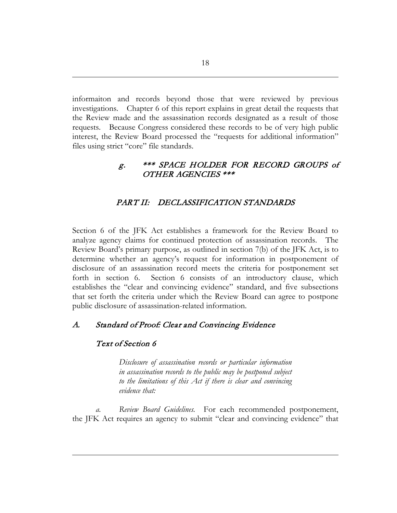informaiton and records beyond those that were reviewed by previous investigations. Chapter 6 of this report explains in great detail the requests that the Review made and the assassination records designated as a result of those requests. Because Congress considered these records to be of very high public interest, the Review Board processed the "requests for additional information" files using strict "core" file standards.

### g. \*\*\* SPACE HOLDER FOR RECORD GROUPS of OTHER AGENCIES \*\*\*

## PART II: DECLASSIFICATION STANDARDS

Section 6 of the JFK Act establishes a framework for the Review Board to analyze agency claims for continued protection of assassination records. The Review Board's primary purpose, as outlined in section 7(b) of the JFK Act, is to determine whether an agency's request for information in postponement of disclosure of an assassination record meets the criteria for postponement set forth in section 6. Section 6 consists of an introductory clause, which establishes the "clear and convincing evidence" standard, and five subsections that set forth the criteria under which the Review Board can agree to postpone public disclosure of assassination-related information.

#### A. Standard of Proof: Clear and Convincing Evidence

### Text of Section 6

*Disclosure of assassination records or particular information in assassination records to the public may be postponed subject to the limitations of this Act if there is clear and convincing evidence that:*

*a. Review Board Guidelines.* For each recommended postponement, the JFK Act requires an agency to submit "clear and convincing evidence" that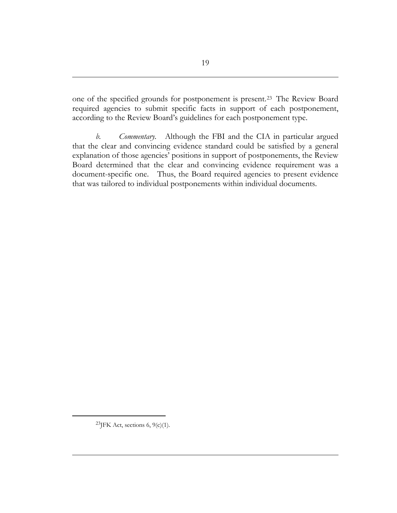one of the specified grounds for postponement is present.[23](#page-18-0) The Review Board required agencies to submit specific facts in support of each postponement, according to the Review Board's guidelines for each postponement type.

*b. Commentary.* Although the FBI and the CIA in particular argued that the clear and convincing evidence standard could be satisfied by a general explanation of those agencies' positions in support of postponements, the Review Board determined that the clear and convincing evidence requirement was a document-specific one. Thus, the Board required agencies to present evidence that was tailored to individual postponements within individual documents.

<span id="page-18-0"></span><sup>&</sup>lt;sup>23</sup>JFK Act, sections 6,  $9(c)(1)$ .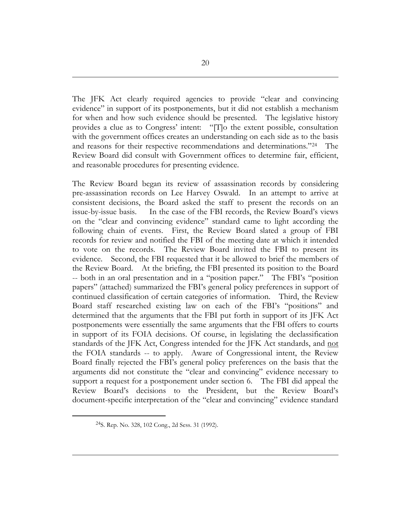The JFK Act clearly required agencies to provide "clear and convincing evidence" in support of its postponements, but it did not establish a mechanism for when and how such evidence should be presented. The legislative history provides a clue as to Congress' intent: "[T]o the extent possible, consultation with the government offices creates an understanding on each side as to the basis and reasons for their respective recommendations and determinations."[24](#page-19-0) The Review Board did consult with Government offices to determine fair, efficient, and reasonable procedures for presenting evidence.

The Review Board began its review of assassination records by considering pre-assassination records on Lee Harvey Oswald. In an attempt to arrive at consistent decisions, the Board asked the staff to present the records on an issue-by-issue basis. In the case of the FBI records, the Review Board's views on the "clear and convincing evidence" standard came to light according the following chain of events. First, the Review Board slated a group of FBI records for review and notified the FBI of the meeting date at which it intended to vote on the records. The Review Board invited the FBI to present its evidence. Second, the FBI requested that it be allowed to brief the members of the Review Board. At the briefing, the FBI presented its position to the Board -- both in an oral presentation and in a "position paper." The FBI's "position papers" (attached) summarized the FBI's general policy preferences in support of continued classification of certain categories of information. Third, the Review Board staff researched existing law on each of the FBI's "positions" and determined that the arguments that the FBI put forth in support of its JFK Act postponements were essentially the same arguments that the FBI offers to courts in support of its FOIA decisions. Of course, in legislating the declassification standards of the JFK Act, Congress intended for the JFK Act standards, and not the FOIA standards -- to apply. Aware of Congressional intent, the Review Board finally rejected the FBI's general policy preferences on the basis that the arguments did not constitute the "clear and convincing" evidence necessary to support a request for a postponement under section 6. The FBI did appeal the Review Board's decisions to the President, but the Review Board's document-specific interpretation of the "clear and convincing" evidence standard

<span id="page-19-0"></span><sup>24</sup>S. Rep. No. 328, 102 Cong., 2d Sess. 31 (1992).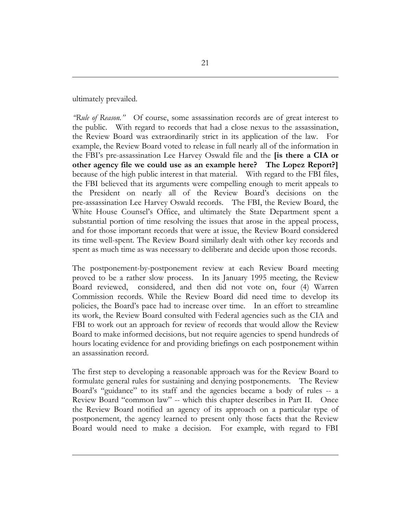ultimately prevailed.

*"Rule of Reason."* Of course, some assassination records are of great interest to the public. With regard to records that had a close nexus to the assassination, the Review Board was extraordinarily strict in its application of the law. For example, the Review Board voted to release in full nearly all of the information in the FBI's pre-assassination Lee Harvey Oswald file and the **[is there a CIA or other agency file we could use as an example here? The Lopez Report?]**  because of the high public interest in that material. With regard to the FBI files, the FBI believed that its arguments were compelling enough to merit appeals to the President on nearly all of the Review Board's decisions on the pre-assassination Lee Harvey Oswald records. The FBI, the Review Board, the White House Counsel's Office, and ultimately the State Department spent a substantial portion of time resolving the issues that arose in the appeal process, and for those important records that were at issue, the Review Board considered its time well-spent. The Review Board similarly dealt with other key records and spent as much time as was necessary to deliberate and decide upon those records.

The postponement-by-postponement review at each Review Board meeting proved to be a rather slow process. In its January 1995 meeting, the Review Board reviewed, considered, and then did not vote on, four (4) Warren Commission records. While the Review Board did need time to develop its policies, the Board's pace had to increase over time. In an effort to streamline its work, the Review Board consulted with Federal agencies such as the CIA and FBI to work out an approach for review of records that would allow the Review Board to make informed decisions, but not require agencies to spend hundreds of hours locating evidence for and providing briefings on each postponement within an assassination record.

The first step to developing a reasonable approach was for the Review Board to formulate general rules for sustaining and denying postponements. The Review Board's "guidance" to its staff and the agencies became a body of rules -- a Review Board "common law" -- which this chapter describes in Part II. Once the Review Board notified an agency of its approach on a particular type of postponement, the agency learned to present only those facts that the Review Board would need to make a decision. For example, with regard to FBI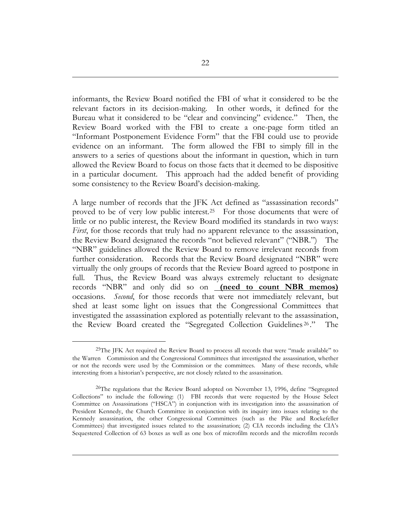informants, the Review Board notified the FBI of what it considered to be the relevant factors in its decision-making. In other words, it defined for the Bureau what it considered to be "clear and convincing" evidence." Then, the Review Board worked with the FBI to create a one-page form titled an "Informant Postponement Evidence Form" that the FBI could use to provide evidence on an informant. The form allowed the FBI to simply fill in the answers to a series of questions about the informant in question, which in turn allowed the Review Board to focus on those facts that it deemed to be dispositive in a particular document. This approach had the added benefit of providing some consistency to the Review Board's decision-making.

A large number of records that the JFK Act defined as "assassination records" proved to be of very low public interest.<sup>[25](#page-21-0)</sup> For those documents that were of little or no public interest, the Review Board modified its standards in two ways: *First*, for those records that truly had no apparent relevance to the assassination, the Review Board designated the records "not believed relevant" ("NBR.") The "NBR" guidelines allowed the Review Board to remove irrelevant records from further consideration. Records that the Review Board designated "NBR" were virtually the only groups of records that the Review Board agreed to postpone in full. Thus, the Review Board was always extremely reluctant to designate records "NBR" and only did so on **(need to count NBR memos)** occasions. *Second*, for those records that were not immediately relevant, but shed at least some light on issues that the Congressional Committees that investigated the assassination explored as potentially relevant to the assassination, the Review Board created the "Segregated Collection Guidelines [26](#page-21-1) ." The

<span id="page-21-0"></span><sup>&</sup>lt;sup>25</sup>The JFK Act required the Review Board to process all records that were "made available" to the Warren Commission and the Congressional Committees that investigated the assassination, whether or not the records were used by the Commission or the committees. Many of these records, while interesting from a historian's perspective, are not closely related to the assassination.

<span id="page-21-1"></span> $^{26}$ The regulations that the Review Board adopted on November 13, 1996, define "Segregated" Collections" to include the following: (1) FBI records that were requested by the House Select Committee on Assassinations ("HSCA") in conjunction with its investigation into the assassination of President Kennedy, the Church Committee in conjunction with its inquiry into issues relating to the Kennedy assassination, the other Congressional Committees (such as the Pike and Rockefeller Committees) that investigated issues related to the assassination; (2) CIA records including the CIA's Sequestered Collection of 63 boxes as well as one box of microfilm records and the microfilm records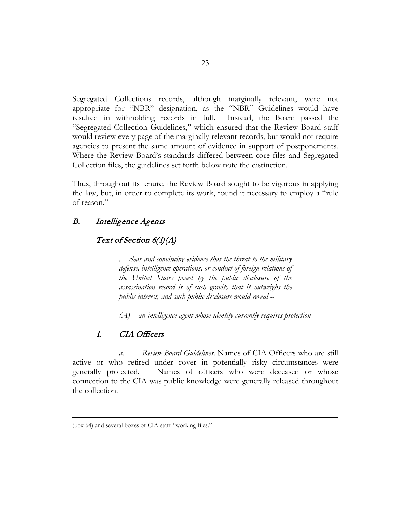Segregated Collections records, although marginally relevant, were not appropriate for "NBR" designation, as the "NBR" Guidelines would have resulted in withholding records in full. Instead, the Board passed the "Segregated Collection Guidelines," which ensured that the Review Board staff would review every page of the marginally relevant records, but would not require agencies to present the same amount of evidence in support of postponements. Where the Review Board's standards differed between core files and Segregated Collection files, the guidelines set forth below note the distinction.

Thus, throughout its tenure, the Review Board sought to be vigorous in applying the law, but, in order to complete its work, found it necessary to employ a "rule of reason."

## B. Intelligence Agents

## Text of Section  $6(1)(A)$

*. . .clear and convincing evidence that the threat to the military defense, intelligence operations, or conduct of foreign relations of the United States posed by the public disclosure of the assassination record is of such gravity that it outweighs the public interest, and such public disclosure would reveal --*

*(A) an intelligence agent whose identity currently requires protection*

### 1. CIA Officers

*a. Review Board Guidelines*. Names of CIA Officers who are still active or who retired under cover in potentially risky circumstances were generally protected. Names of officers who were deceased or whose connection to the CIA was public knowledge were generally released throughout the collection.

<sup>(</sup>box 64) and several boxes of CIA staff "working files."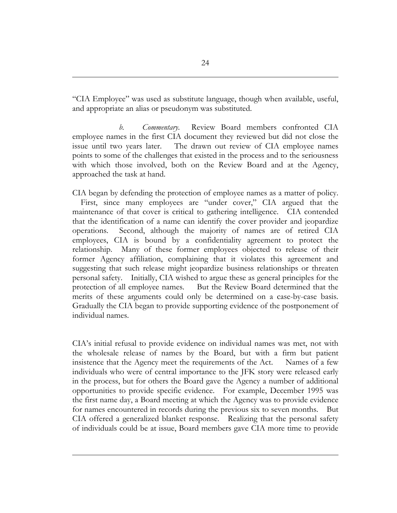"CIA Employee" was used as substitute language, though when available, useful, and appropriate an alias or pseudonym was substituted.

*b. Commentary*. Review Board members confronted CIA employee names in the first CIA document they reviewed but did not close the issue until two years later. The drawn out review of CIA employee names points to some of the challenges that existed in the process and to the seriousness with which those involved, both on the Review Board and at the Agency, approached the task at hand.

CIA began by defending the protection of employee names as a matter of policy. First, since many employees are "under cover," CIA argued that the maintenance of that cover is critical to gathering intelligence. CIA contended that the identification of a name can identify the cover provider and jeopardize operations. Second, although the majority of names are of retired CIA employees, CIA is bound by a confidentiality agreement to protect the relationship. Many of these former employees objected to release of their former Agency affiliation, complaining that it violates this agreement and suggesting that such release might jeopardize business relationships or threaten personal safety. Initially, CIA wished to argue these as general principles for the protection of all employee names. But the Review Board determined that the merits of these arguments could only be determined on a case-by-case basis. Gradually the CIA began to provide supporting evidence of the postponement of individual names.

CIA's initial refusal to provide evidence on individual names was met, not with the wholesale release of names by the Board, but with a firm but patient insistence that the Agency meet the requirements of the Act. Names of a few individuals who were of central importance to the JFK story were released early in the process, but for others the Board gave the Agency a number of additional opportunities to provide specific evidence. For example, December 1995 was the first name day, a Board meeting at which the Agency was to provide evidence for names encountered in records during the previous six to seven months. But CIA offered a generalized blanket response. Realizing that the personal safety of individuals could be at issue, Board members gave CIA more time to provide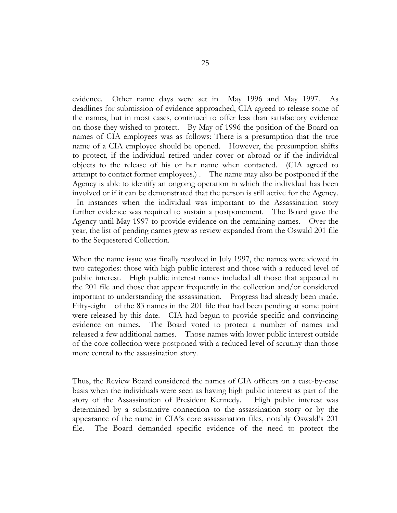evidence. Other name days were set in May 1996 and May 1997. As deadlines for submission of evidence approached, CIA agreed to release some of the names, but in most cases, continued to offer less than satisfactory evidence on those they wished to protect. By May of 1996 the position of the Board on names of CIA employees was as follows: There is a presumption that the true name of a CIA employee should be opened. However, the presumption shifts to protect, if the individual retired under cover or abroad or if the individual objects to the release of his or her name when contacted. (CIA agreed to attempt to contact former employees.) . The name may also be postponed if the Agency is able to identify an ongoing operation in which the individual has been involved or if it can be demonstrated that the person is still active for the Agency. In instances when the individual was important to the Assassination story further evidence was required to sustain a postponement. The Board gave the Agency until May 1997 to provide evidence on the remaining names. Over the year, the list of pending names grew as review expanded from the Oswald 201 file to the Sequestered Collection.

When the name issue was finally resolved in July 1997, the names were viewed in two categories: those with high public interest and those with a reduced level of public interest. High public interest names included all those that appeared in the 201 file and those that appear frequently in the collection and/or considered important to understanding the assassination. Progress had already been made. Fifty-eight of the 83 names in the 201 file that had been pending at some point were released by this date. CIA had begun to provide specific and convincing evidence on names. The Board voted to protect a number of names and released a few additional names. Those names with lower public interest outside of the core collection were postponed with a reduced level of scrutiny than those more central to the assassination story.

Thus, the Review Board considered the names of CIA officers on a case-by-case basis when the individuals were seen as having high public interest as part of the story of the Assassination of President Kennedy. High public interest was determined by a substantive connection to the assassination story or by the appearance of the name in CIA's core assassination files, notably Oswald's 201 file. The Board demanded specific evidence of the need to protect the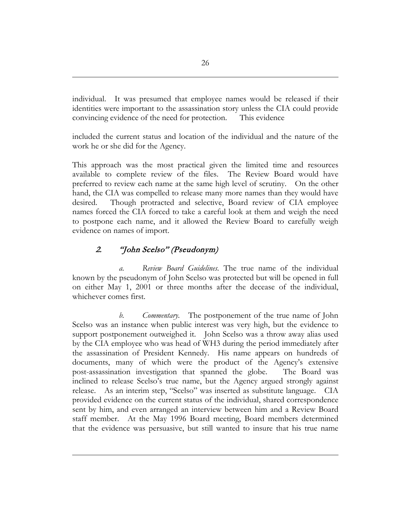individual. It was presumed that employee names would be released if their identities were important to the assassination story unless the CIA could provide convincing evidence of the need for protection. This evidence

included the current status and location of the individual and the nature of the work he or she did for the Agency.

This approach was the most practical given the limited time and resources available to complete review of the files. The Review Board would have preferred to review each name at the same high level of scrutiny. On the other hand, the CIA was compelled to release many more names than they would have desired. Though protracted and selective, Board review of CIA employee names forced the CIA forced to take a careful look at them and weigh the need to postpone each name, and it allowed the Review Board to carefully weigh evidence on names of import.

# 2. "John Scelso" (Pseudonym)

*a. Review Board Guidelines.* The true name of the individual known by the pseudonym of John Scelso was protected but will be opened in full on either May 1, 2001 or three months after the decease of the individual, whichever comes first.

*b. Commentary.* The postponement of the true name of John Scelso was an instance when public interest was very high, but the evidence to support postponement outweighed it. John Scelso was a throw away alias used by the CIA employee who was head of WH3 during the period immediately after the assassination of President Kennedy. His name appears on hundreds of documents, many of which were the product of the Agency's extensive post-assassination investigation that spanned the globe. The Board was inclined to release Scelso's true name, but the Agency argued strongly against release. As an interim step, "Scelso" was inserted as substitute language. CIA provided evidence on the current status of the individual, shared correspondence sent by him, and even arranged an interview between him and a Review Board staff member. At the May 1996 Board meeting, Board members determined that the evidence was persuasive, but still wanted to insure that his true name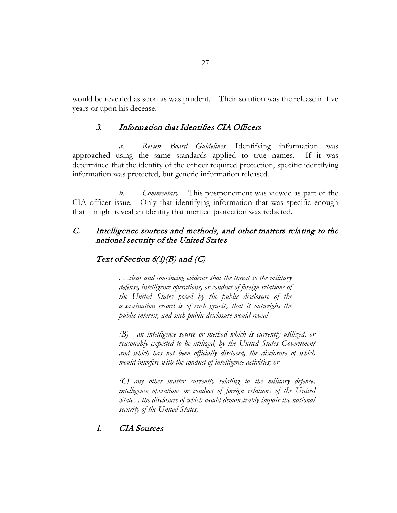would be revealed as soon as was prudent. Their solution was the release in five years or upon his decease.

## 3. Information that Identifies CIA Officers

*a. Review Board Guidelines*. Identifying information was approached using the same standards applied to true names. If it was determined that the identity of the officer required protection, specific identifying information was protected, but generic information released.

*b. Commentary.* This postponement was viewed as part of the CIA officer issue. Only that identifying information that was specific enough that it might reveal an identity that merited protection was redacted.

## C. Intelligence sources and methods, and other matters relating to the national security of the United States

# Text of Section  $6(1)(B)$  and  $(C)$

*. . .clear and convincing evidence that the threat to the military defense, intelligence operations, or conduct of foreign relations of the United States posed by the public disclosure of the assassination record is of such gravity that it outweighs the public interest, and such public disclosure would reveal --*

*(B) an intelligence source or method which is currently utilized, or reasonably expected to be utilized, by the United States Government and which has not been officially disclosed, the disclosure of which would interfere with the conduct of intelligence activities; or*

*(C) any other matter currently relating to the military defense, intelligence operations or conduct of foreign relations of the United States , the disclosure of which would demonstrably impair the national security of the United States;*

## 1. CIA Sources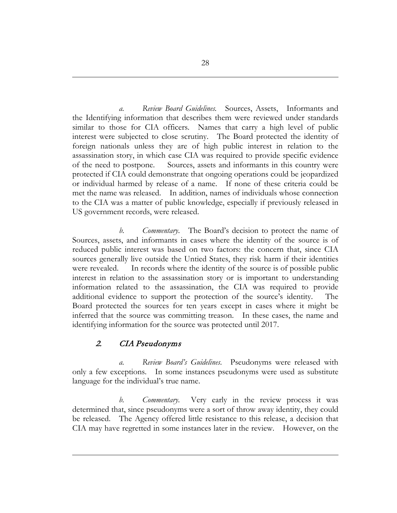*a. Review Board Guidelines.* Sources, Assets, Informants and the Identifying information that describes them were reviewed under standards similar to those for CIA officers. Names that carry a high level of public interest were subjected to close scrutiny. The Board protected the identity of foreign nationals unless they are of high public interest in relation to the assassination story, in which case CIA was required to provide specific evidence of the need to postpone. Sources, assets and informants in this country were protected if CIA could demonstrate that ongoing operations could be jeopardized or individual harmed by release of a name. If none of these criteria could be met the name was released. In addition, names of individuals whose connection to the CIA was a matter of public knowledge, especially if previously released in US government records, were released.

*b. Commentary*. The Board's decision to protect the name of Sources, assets, and informants in cases where the identity of the source is of reduced public interest was based on two factors: the concern that, since CIA sources generally live outside the Untied States, they risk harm if their identities were revealed. In records where the identity of the source is of possible public interest in relation to the assassination story or is important to understanding information related to the assassination, the CIA was required to provide additional evidence to support the protection of the source's identity.The Board protected the sources for ten years except in cases where it might be inferred that the source was committing treason. In these cases, the name and identifying information for the source was protected until 2017.

### 2. CIA Pseudonyms

*a. Review Board's Guidelines*. Pseudonyms were released with only a few exceptions. In some instances pseudonyms were used as substitute language for the individual's true name.

*b. Commentary*. Very early in the review process it was determined that, since pseudonyms were a sort of throw away identity, they could be released. The Agency offered little resistance to this release, a decision that CIA may have regretted in some instances later in the review. However, on the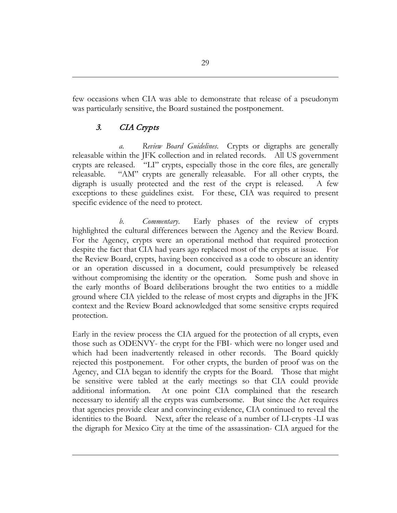few occasions when CIA was able to demonstrate that release of a pseudonym was particularly sensitive, the Board sustained the postponement.

# 3. CIA Crypts

*Review Board Guidelines.* Crypts or digraphs are generally releasable within the JFK collection and in related records. All US government crypts are released. "LI" crypts, especially those in the core files, are generally releasable. "AM" crypts are generally releasable. For all other crypts, the digraph is usually protected and the rest of the crypt is released. A few exceptions to these guidelines exist. For these, CIA was required to present specific evidence of the need to protect.

*b. Commentary*. Early phases of the review of crypts highlighted the cultural differences between the Agency and the Review Board. For the Agency, crypts were an operational method that required protection despite the fact that CIA had years ago replaced most of the crypts at issue. For the Review Board, crypts, having been conceived as a code to obscure an identity or an operation discussed in a document, could presumptively be released without compromising the identity or the operation. Some push and shove in the early months of Board deliberations brought the two entities to a middle ground where CIA yielded to the release of most crypts and digraphs in the JFK context and the Review Board acknowledged that some sensitive crypts required protection.

Early in the review process the CIA argued for the protection of all crypts, even those such as ODENVY- the crypt for the FBI- which were no longer used and which had been inadvertently released in other records. The Board quickly rejected this postponement. For other crypts, the burden of proof was on the Agency, and CIA began to identify the crypts for the Board. Those that might be sensitive were tabled at the early meetings so that CIA could provide additional information. At one point CIA complained that the research necessary to identify all the crypts was cumbersome. But since the Act requires that agencies provide clear and convincing evidence, CIA continued to reveal the identities to the Board. Next, after the release of a number of LI-crypts -LI was the digraph for Mexico City at the time of the assassination- CIA argued for the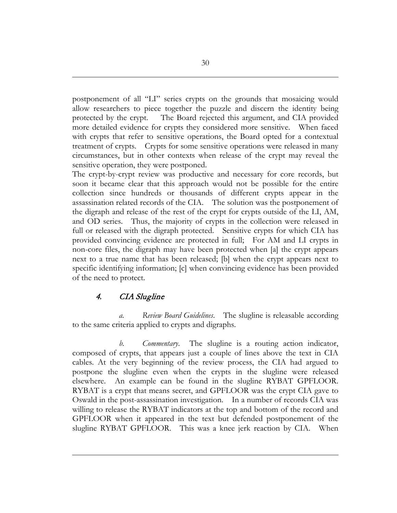postponement of all "LI" series crypts on the grounds that mosaicing would allow researchers to piece together the puzzle and discern the identity being protected by the crypt. The Board rejected this argument, and CIA provided more detailed evidence for crypts they considered more sensitive. When faced with crypts that refer to sensitive operations, the Board opted for a contextual treatment of crypts. Crypts for some sensitive operations were released in many circumstances, but in other contexts when release of the crypt may reveal the sensitive operation, they were postponed.

The crypt-by-crypt review was productive and necessary for core records, but soon it became clear that this approach would not be possible for the entire collection since hundreds or thousands of different crypts appear in the assassination related records of the CIA. The solution was the postponement of the digraph and release of the rest of the crypt for crypts outside of the LI, AM, and OD series. Thus, the majority of crypts in the collection were released in full or released with the digraph protected. Sensitive crypts for which CIA has provided convincing evidence are protected in full; For AM and LI crypts in non-core files, the digraph may have been protected when [a] the crypt appears next to a true name that has been released; [b] when the crypt appears next to specific identifying information; [c] when convincing evidence has been provided of the need to protect.

### 4. CIA Slugline

*a. Review Board Guidelines*. The slugline is releasable according to the same criteria applied to crypts and digraphs.

*b. Commentary*. The slugline is a routing action indicator, composed of crypts, that appears just a couple of lines above the text in CIA cables. At the very beginning of the review process, the CIA had argued to postpone the slugline even when the crypts in the slugline were released elsewhere. An example can be found in the slugline RYBAT GPFLOOR. RYBAT is a crypt that means secret, and GPFLOOR was the crypt CIA gave to Oswald in the post-assassination investigation. In a number of records CIA was willing to release the RYBAT indicators at the top and bottom of the record and GPFLOOR when it appeared in the text but defended postponement of the slugline RYBAT GPFLOOR. This was a knee jerk reaction by CIA. When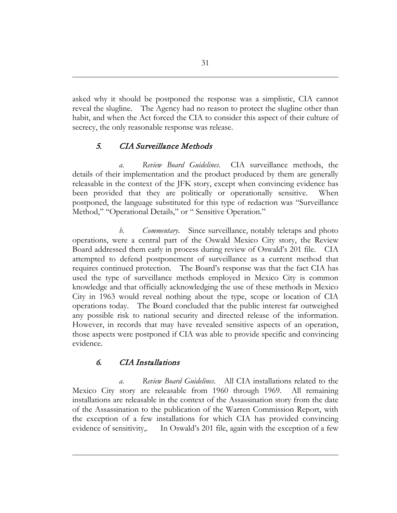asked why it should be postponed the response was a simplistic, CIA cannot reveal the slugline. The Agency had no reason to protect the slugline other than habit, and when the Act forced the CIA to consider this aspect of their culture of secrecy, the only reasonable response was release.

### 5. CIA Surveillance Methods

*a. Review Board Guidelines*. CIA surveillance methods, the details of their implementation and the product produced by them are generally releasable in the context of the JFK story, except when convincing evidence has been provided that they are politically or operationally sensitive. When postponed, the language substituted for this type of redaction was "Surveillance Method," "Operational Details," or " Sensitive Operation."

*b. Commentary*. Since surveillance, notably teletaps and photo operations, were a central part of the Oswald Mexico City story, the Review Board addressed them early in process during review of Oswald's 201 file. CIA attempted to defend postponement of surveillance as a current method that requires continued protection. The Board's response was that the fact CIA has used the type of surveillance methods employed in Mexico City is common knowledge and that officially acknowledging the use of these methods in Mexico City in 1963 would reveal nothing about the type, scope or location of CIA operations today. The Board concluded that the public interest far outweighed any possible risk to national security and directed release of the information. However, in records that may have revealed sensitive aspects of an operation, those aspects were postponed if CIA was able to provide specific and convincing evidence.

### 6. CIA Installations

*a. Review Board Guidelines*. All CIA installations related to the Mexico City story are releasable from 1960 through 1969. All remaining installations are releasable in the context of the Assassination story from the date of the Assassination to the publication of the Warren Commission Report, with the exception of a few installations for which CIA has provided convincing evidence of sensitivity,. In Oswald's 201 file, again with the exception of a few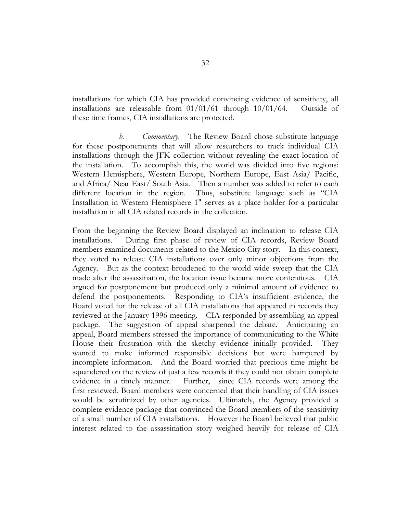installations for which CIA has provided convincing evidence of sensitivity, all installations are releasable from  $01/01/61$  through  $10/01/64$ . Outside of these time frames, CIA installations are protected.

*b. Commentary*. The Review Board chose substitute language for these postponements that will allow researchers to track individual CIA installations through the JFK collection without revealing the exact location of the installation. To accomplish this, the world was divided into five regions: Western Hemisphere, Western Europe, Northern Europe, East Asia/ Pacific, and Africa/ Near East/ South Asia. Then a number was added to refer to each different location in the region. Thus, substitute language such as "CIA Installation in Western Hemisphere 1" serves as a place holder for a particular installation in all CIA related records in the collection.

From the beginning the Review Board displayed an inclination to release CIA installations. During first phase of review of CIA records, Review Board members examined documents related to the Mexico City story. In this context, they voted to release CIA installations over only minor objections from the Agency. But as the context broadened to the world wide sweep that the CIA made after the assassination, the location issue became more contentious. CIA argued for postponement but produced only a minimal amount of evidence to defend the postponements. Responding to CIA's insufficient evidence, the Board voted for the release of all CIA installations that appeared in records they reviewed at the January 1996 meeting. CIA responded by assembling an appeal package. The suggestion of appeal sharpened the debate. Anticipating an appeal, Board members stressed the importance of communicating to the White House their frustration with the sketchy evidence initially provided. They wanted to make informed responsible decisions but were hampered by incomplete information. And the Board worried that precious time might be squandered on the review of just a few records if they could not obtain complete evidence in a timely manner. Further, since CIA records were among the first reviewed, Board members were concerned that their handling of CIA issues would be scrutinized by other agencies. Ultimately, the Agency provided a complete evidence package that convinced the Board members of the sensitivity of a small number of CIA installations. However the Board believed that public interest related to the assassination story weighed heavily for release of CIA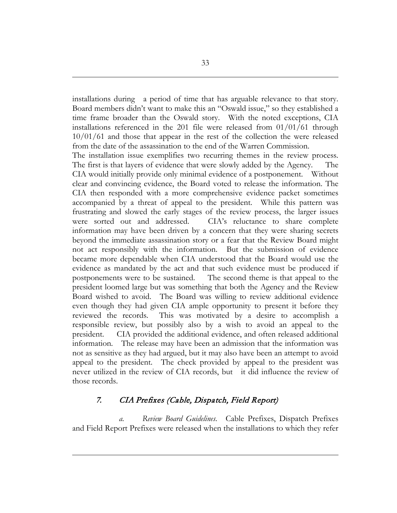installations during a period of time that has arguable relevance to that story. Board members didn't want to make this an "Oswald issue," so they established a time frame broader than the Oswald story. With the noted exceptions, CIA installations referenced in the 201 file were released from  $01/01/61$  through 10/01/61 and those that appear in the rest of the collection the were released from the date of the assassination to the end of the Warren Commission.

The installation issue exemplifies two recurring themes in the review process. The first is that layers of evidence that were slowly added by the Agency. The CIA would initially provide only minimal evidence of a postponement. Without clear and convincing evidence, the Board voted to release the information. The CIA then responded with a more comprehensive evidence packet sometimes accompanied by a threat of appeal to the president. While this pattern was frustrating and slowed the early stages of the review process, the larger issues were sorted out and addressed. CIA's reluctance to share complete information may have been driven by a concern that they were sharing secrets beyond the immediate assassination story or a fear that the Review Board might not act responsibly with the information. But the submission of evidence became more dependable when CIA understood that the Board would use the evidence as mandated by the act and that such evidence must be produced if postponements were to be sustained. The second theme is that appeal to the president loomed large but was something that both the Agency and the Review Board wished to avoid. The Board was willing to review additional evidence even though they had given CIA ample opportunity to present it before they reviewed the records. This was motivated by a desire to accomplish a responsible review, but possibly also by a wish to avoid an appeal to the president. CIA provided the additional evidence, and often released additional information. The release may have been an admission that the information was not as sensitive as they had argued, but it may also have been an attempt to avoid appeal to the president. The check provided by appeal to the president was never utilized in the review of CIA records, but it did influence the review of those records.

### 7. CIA Prefixes (Cable, Dispatch, Field Report)

*a. Review Board Guidelines*. Cable Prefixes, Dispatch Prefixes and Field Report Prefixes were released when the installations to which they refer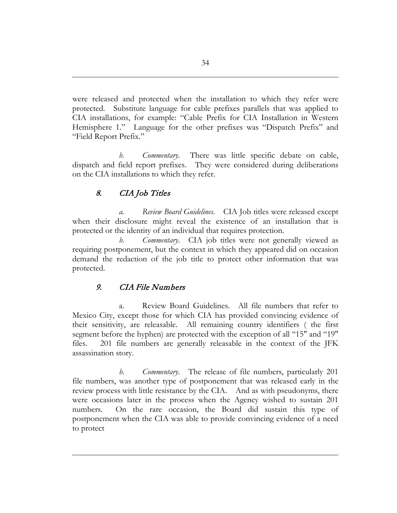were released and protected when the installation to which they refer were protected. Substitute language for cable prefixes parallels that was applied to CIA installations, for example: "Cable Prefix for CIA Installation in Western Hemisphere 1." Language for the other prefixes was "Dispatch Prefix" and "Field Report Prefix."

*b. Commentary*. There was little specific debate on cable, dispatch and field report prefixes. They were considered during deliberations on the CIA installations to which they refer.

# 8. CIA Job Titles

*a. Review Board Guidelines*. CIA Job titles were released except when their disclosure might reveal the existence of an installation that is protected or the identity of an individual that requires protection.

*b. Commentary*. CIA job titles were not generally viewed as requiring postponement, but the context in which they appeared did on occasion demand the redaction of the job title to protect other information that was protected.

# 9. CIA File Numbers

a. Review Board Guidelines. All file numbers that refer to Mexico City, except those for which CIA has provided convincing evidence of their sensitivity, are releasable. All remaining country identifiers ( the first segment before the hyphen) are protected with the exception of all "15" and "19" files. 201 file numbers are generally releasable in the context of the JFK assassination story.

*b. Commentary*. The release of file numbers, particularly 201 file numbers, was another type of postponement that was released early in the review process with little resistance by the CIA. And as with pseudonyms, there were occasions later in the process when the Agency wished to sustain 201 numbers. On the rare occasion, the Board did sustain this type of postponement when the CIA was able to provide convincing evidence of a need to protect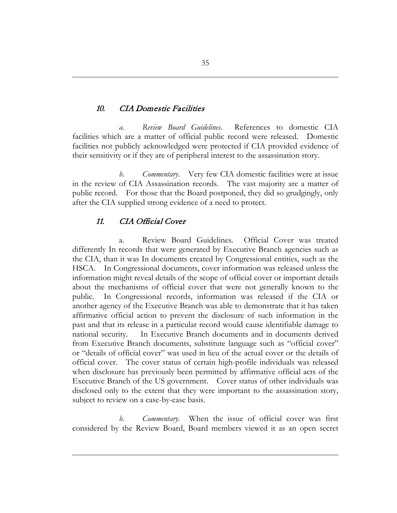#### 10. CIA Domestic Facilities

*a. Review Board Guidelines*. References to domestic CIA facilities which are a matter of official public record were released. Domestic facilities not publicly acknowledged were protected if CIA provided evidence of their sensitivity or if they are of peripheral interest to the assassination story.

*b. Commentary*. Very few CIA domestic facilities were at issue in the review of CIA Assassination records. The vast majority are a matter of public record. For those that the Board postponed, they did so grudgingly, only after the CIA supplied strong evidence of a need to protect.

#### 11. CIA Official Cover

a. Review Board Guidelines. Official Cover was treated differently In records that were generated by Executive Branch agencies such as the CIA, than it was In documents created by Congressional entities, such as the HSCA. In Congressional documents, cover information was released unless the information might reveal details of the scope of official cover or important details about the mechanisms of official cover that were not generally known to the public. In Congressional records, information was released if the CIA or another agency of the Executive Branch was able to demonstrate that it has taken affirmative official action to prevent the disclosure of such information in the past and that its release in a particular record would cause identifiable damage to national security. In Executive Branch documents and in documents derived from Executive Branch documents, substitute language such as "official cover" or "details of official cover" was used in lieu of the actual cover or the details of official cover. The cover status of certain high-profile individuals was released when disclosure has previously been permitted by affirmative official acts of the Executive Branch of the US government. Cover status of other individuals was disclosed only to the extent that they were important to the assassination story, subject to review on a case-by-case basis.

*b. Commentary*. When the issue of official cover was first considered by the Review Board, Board members viewed it as an open secret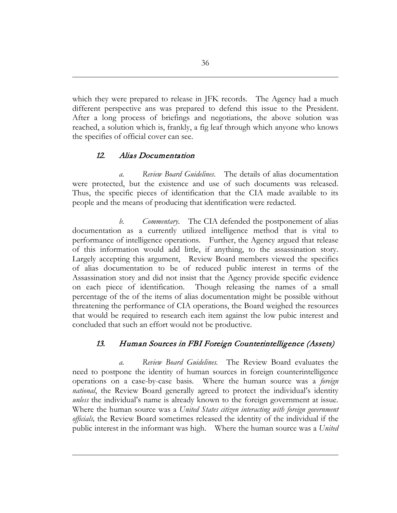which they were prepared to release in JFK records. The Agency had a much different perspective ans was prepared to defend this issue to the President. After a long process of briefings and negotiations, the above solution was reached, a solution which is, frankly, a fig leaf through which anyone who knows the specifies of official cover can see.

#### 12. Alias Documentation

*a. Review Board Guidelines*. The details of alias documentation were protected, but the existence and use of such documents was released. Thus, the specific pieces of identification that the CIA made available to its people and the means of producing that identification were redacted.

*b. Commentary*. The CIA defended the postponement of alias documentation as a currently utilized intelligence method that is vital to performance of intelligence operations. Further, the Agency argued that release of this information would add little, if anything, to the assassination story. Largely accepting this argument, Review Board members viewed the specifics of alias documentation to be of reduced public interest in terms of the Assassination story and did not insist that the Agency provide specific evidence on each piece of identification. Though releasing the names of a small percentage of the of the items of alias documentation might be possible without threatening the performance of CIA operations, the Board weighed the resources that would be required to research each item against the low pubic interest and concluded that such an effort would not be productive.

### 13. Human Sources in FBI Foreign Counterintelligence (Assets)

*a. Review Board Guidelines.* The Review Board evaluates the need to postpone the identity of human sources in foreign counterintelligence operations on a case-by-case basis. Where the human source was a *foreign national*, the Review Board generally agreed to protect the individual's identity *unless* the individual's name is already known to the foreign government at issue. Where the human source was a *United States citizen interacting with foreign government officials,* the Review Board sometimes released the identity of the individual if the public interest in the informant was high. Where the human source was a *United*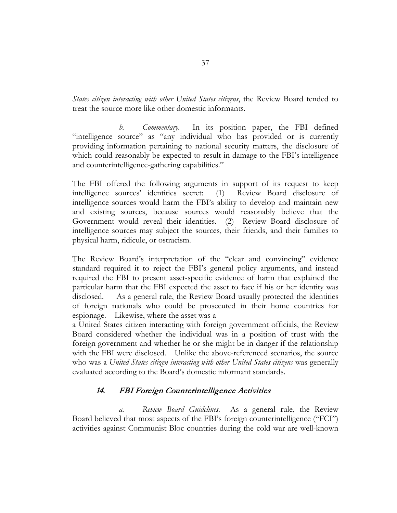*States citizen interacting with other United States citizens*, the Review Board tended to treat the source more like other domestic informants.

*b. Commentary.* In its position paper, the FBI defined "intelligence source" as "any individual who has provided or is currently providing information pertaining to national security matters, the disclosure of which could reasonably be expected to result in damage to the FBI's intelligence and counterintelligence-gathering capabilities."

The FBI offered the following arguments in support of its request to keep intelligence sources' identities secret: (1) Review Board disclosure of intelligence sources would harm the FBI's ability to develop and maintain new and existing sources, because sources would reasonably believe that the Government would reveal their identities. (2) Review Board disclosure of intelligence sources may subject the sources, their friends, and their families to physical harm, ridicule, or ostracism.

The Review Board's interpretation of the "clear and convincing" evidence standard required it to reject the FBI's general policy arguments, and instead required the FBI to present asset-specific evidence of harm that explained the particular harm that the FBI expected the asset to face if his or her identity was disclosed. As a general rule, the Review Board usually protected the identities of foreign nationals who could be prosecuted in their home countries for espionage. Likewise, where the asset was a

a United States citizen interacting with foreign government officials, the Review Board considered whether the individual was in a position of trust with the foreign government and whether he or she might be in danger if the relationship with the FBI were disclosed. Unlike the above-referenced scenarios, the source who was a *United States citizen interacting with other United States citizens* was generally evaluated according to the Board's domestic informant standards.

# 14. FBI Foreign Counterintelligence Activities

*a. Review Board Guidelines*. As a general rule, the Review Board believed that most aspects of the FBI's foreign counterintelligence ("FCI") activities against Communist Bloc countries during the cold war are well-known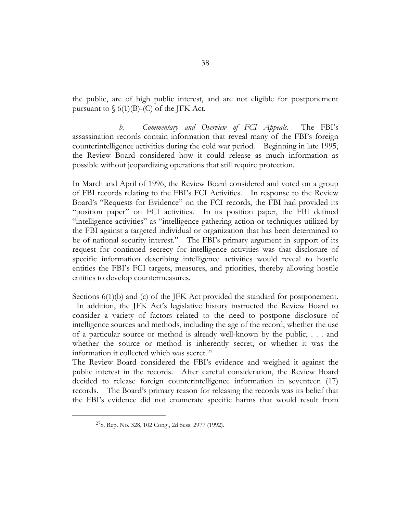the public, are of high public interest, and are not eligible for postponement pursuant to  $\S$  6(1)(B)-(C) of the JFK Act.

*b. Commentary and Overview of FCI Appeals*. The FBI's assassination records contain information that reveal many of the FBI's foreign counterintelligence activities during the cold war period. Beginning in late 1995, the Review Board considered how it could release as much information as possible without jeopardizing operations that still require protection.

In March and April of 1996, the Review Board considered and voted on a group of FBI records relating to the FBI's FCI Activities. In response to the Review Board's "Requests for Evidence" on the FCI records, the FBI had provided its "position paper" on FCI activities. In its position paper, the FBI defined "intelligence activities" as "intelligence gathering action or techniques utilized by the FBI against a targeted individual or organization that has been determined to be of national security interest." The FBI's primary argument in support of its request for continued secrecy for intelligence activities was that disclosure of specific information describing intelligence activities would reveal to hostile entities the FBI's FCI targets, measures, and priorities, thereby allowing hostile entities to develop countermeasures.

Sections 6(1)(b) and (c) of the JFK Act provided the standard for postponement. In addition, the JFK Act's legislative history instructed the Review Board to consider a variety of factors related to the need to postpone disclosure of intelligence sources and methods, including the age of the record, whether the use of a particular source or method is already well-known by the public, . . . and whether the source or method is inherently secret, or whether it was the information it collected which was secret.[27](#page-37-0)

<span id="page-37-0"></span>The Review Board considered the FBI's evidence and weighed it against the public interest in the records. After careful consideration, the Review Board decided to release foreign counterintelligence information in seventeen (17) records. The Board's primary reason for releasing the records was its belief that the FBI's evidence did not enumerate specific harms that would result from

<sup>27</sup>S. Rep. No. 328, 102 Cong., 2d Sess. 2977 (1992).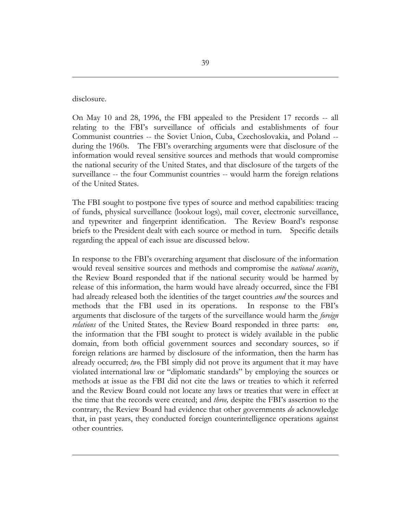disclosure.

On May 10 and 28, 1996, the FBI appealed to the President 17 records -- all relating to the FBI's surveillance of officials and establishments of four Communist countries -- the Soviet Union, Cuba, Czechoslovakia, and Poland - during the 1960s. The FBI's overarching arguments were that disclosure of the information would reveal sensitive sources and methods that would compromise the national security of the United States, and that disclosure of the targets of the surveillance -- the four Communist countries -- would harm the foreign relations of the United States.

The FBI sought to postpone five types of source and method capabilities: tracing of funds, physical surveillance (lookout logs), mail cover, electronic surveillance, and typewriter and fingerprint identification. The Review Board's response briefs to the President dealt with each source or method in turn. Specific details regarding the appeal of each issue are discussed below.

In response to the FBI's overarching argument that disclosure of the information would reveal sensitive sources and methods and compromise the *national security*, the Review Board responded that if the national security would be harmed by release of this information, the harm would have already occurred, since the FBI had already released both the identities of the target countries *and* the sources and methods that the FBI used in its operations. In response to the FBI's arguments that disclosure of the targets of the surveillance would harm the *foreign relations* of the United States, the Review Board responded in three parts: *one,* the information that the FBI sought to protect is widely available in the public domain, from both official government sources and secondary sources, so if foreign relations are harmed by disclosure of the information, then the harm has already occurred; *two,* the FBI simply did not prove its argument that it may have violated international law or "diplomatic standards" by employing the sources or methods at issue as the FBI did not cite the laws or treaties to which it referred and the Review Board could not locate any laws or treaties that were in effect at the time that the records were created; and *three,* despite the FBI's assertion to the contrary, the Review Board had evidence that other governments *do* acknowledge that, in past years, they conducted foreign counterintelligence operations against other countries.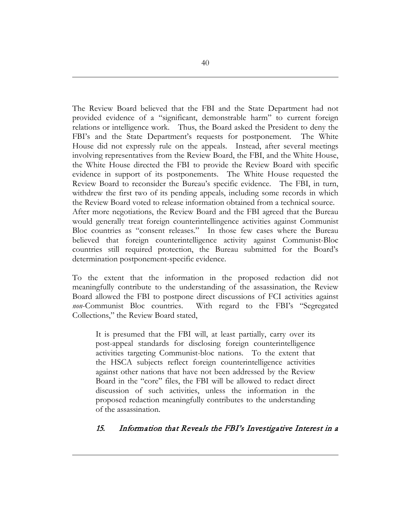The Review Board believed that the FBI and the State Department had not provided evidence of a "significant, demonstrable harm" to current foreign relations or intelligence work. Thus, the Board asked the President to deny the FBI's and the State Department's requests for postponement. The White House did not expressly rule on the appeals. Instead, after several meetings involving representatives from the Review Board, the FBI, and the White House, the White House directed the FBI to provide the Review Board with specific evidence in support of its postponements. The White House requested the Review Board to reconsider the Bureau's specific evidence. The FBI, in turn, withdrew the first two of its pending appeals, including some records in which the Review Board voted to release information obtained from a technical source. After more negotiations, the Review Board and the FBI agreed that the Bureau would generally treat foreign counterintellingence activities against Communist Bloc countries as "consent releases." In those few cases where the Bureau believed that foreign counterintelligence activity against Communist-Bloc countries still required protection, the Bureau submitted for the Board's determination postponement-specific evidence.

To the extent that the information in the proposed redaction did not meaningfully contribute to the understanding of the assassination, the Review Board allowed the FBI to postpone direct discussions of FCI activities against *non*-Communist Bloc countries. With regard to the FBI's "Segregated Collections," the Review Board stated,

It is presumed that the FBI will, at least partially, carry over its post-appeal standards for disclosing foreign counterintelligence activities targeting Communist-bloc nations. To the extent that the HSCA subjects reflect foreign counterintelligence activities against other nations that have not been addressed by the Review Board in the "core" files, the FBI will be allowed to redact direct discussion of such activities, unless the information in the proposed redaction meaningfully contributes to the understanding of the assassination.

### 15. Information that Reveals the FBI's Investigative Interest in a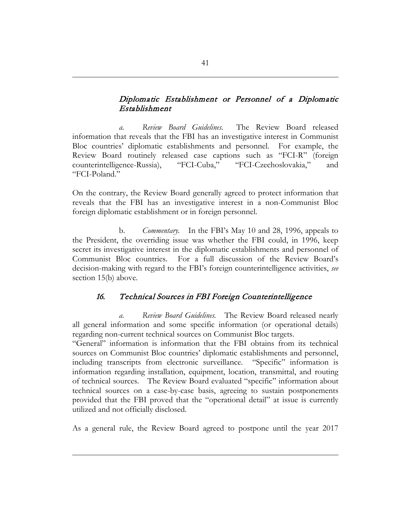## Diplomatic Establishment or Personnel of a Diplomatic Establishment

*a. Review Board Guidelines.* The Review Board released information that reveals that the FBI has an investigative interest in Communist Bloc countries' diplomatic establishments and personnel. For example, the Review Board routinely released case captions such as "FCI-R" (foreign counterintelligence-Russia), "FCI-Cuba," "FCI-Czechoslovakia," and "FCI-Poland."

On the contrary, the Review Board generally agreed to protect information that reveals that the FBI has an investigative interest in a non-Communist Bloc foreign diplomatic establishment or in foreign personnel.

b. *Commentary.* In the FBI's May 10 and 28, 1996, appeals to the President, the overriding issue was whether the FBI could, in 1996, keep secret its investigative interest in the diplomatic establishments and personnel of Communist Bloc countries. For a full discussion of the Review Board's decision-making with regard to the FBI's foreign counterintelligence activities, *see* section 15(b) above.

# 16. Technical Sources in FBI Foreign Counterintelligence

*a. Review Board Guidelines.* The Review Board released nearly all general information and some specific information (or operational details) regarding non-current technical sources on Communist Bloc targets.

"General" information is information that the FBI obtains from its technical sources on Communist Bloc countries' diplomatic establishments and personnel, including transcripts from electronic surveillance. "Specific" information is information regarding installation, equipment, location, transmittal, and routing of technical sources. The Review Board evaluated "specific" information about technical sources on a case-by-case basis, agreeing to sustain postponements provided that the FBI proved that the "operational detail" at issue is currently utilized and not officially disclosed.

As a general rule, the Review Board agreed to postpone until the year 2017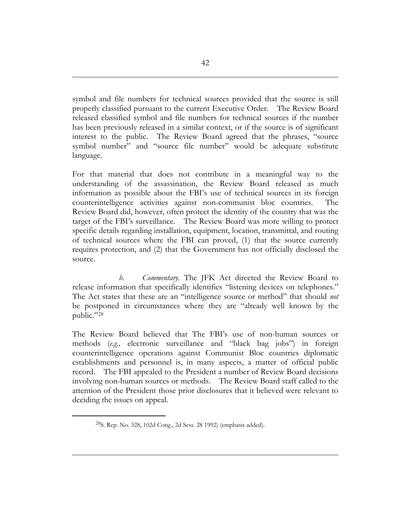symbol and file numbers for technical sources provided that the source is still properly classified pursuant to the current Executive Order.The Review Board released classified symbol and file numbers for technical sources if the number has been previously released in a similar context, or if the source is of significant interest to the public. The Review Board agreed that the phrases, "source symbol number" and "source file number" would be adequate substitute language.

For that material that does not contribute in a meaningful way to the understanding of the assassination, the Review Board released as much information as possible about the FBI's use of technical sources in its foreign counterintelligence activities against non-communist bloc countries. The Review Board did, however, often protect the identity of the country that was the target of the FBI's surveillance. The Review Board was more willing to protect specific details regarding installation, equipment, location, transmittal, and routing of technical sources where the FBI can proved, (1) that the source currently requires protection, and (2) that the Government has not officially disclosed the source.

*b. Commentary.* The JFK Act directed the Review Board to release information that specifically identifies "listening devices on telephones." The Act states that these are an "intelligence source or method" that should *not* be postponed in circumstances where they are "already well known by the public."[28](#page-41-0)

The Review Board believed that The FBI's use of non-human sources or methods (*e.g.,* electronic surveillance and "black bag jobs") in foreign counterintelligence operations against Communist Bloc countries diplomatic establishments and personnel is, in many aspects, a matter of official public record. The FBI appealed to the President a number of Review Board decisions involving non-human sources or methods. The Review Board staff called to the attention of the President those prior disclosures that it believed were relevant to deciding the issues on appeal.

<span id="page-41-0"></span><sup>28</sup>S. Rep. No. 328, 102d Cong., 2d Sess. 28 1992) (emphasis added).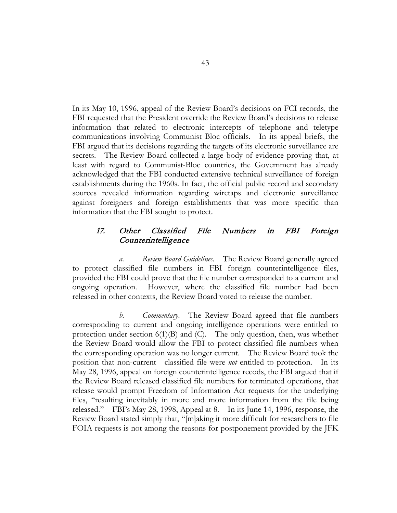In its May 10, 1996, appeal of the Review Board's decisions on FCI records, the FBI requested that the President override the Review Board's decisions to release information that related to electronic intercepts of telephone and teletype communications involving Communist Bloc officials. In its appeal briefs, the FBI argued that its decisions regarding the targets of its electronic surveillance are secrets. The Review Board collected a large body of evidence proving that, at least with regard to Communist-Bloc countries, the Government has already acknowledged that the FBI conducted extensive technical surveillance of foreign establishments during the 1960s. In fact, the official public record and secondary sources revealed information regarding wiretaps and electronic surveillance against foreigners and foreign establishments that was more specific than information that the FBI sought to protect.

### 17. Other Classified File Numbers in FBI Foreign **Counterintelligence**

*a. Review Board Guidelines.* The Review Board generally agreed to protect classified file numbers in FBI foreign counterintelligence files, provided the FBI could prove that the file number corresponded to a current and ongoing operation. However, where the classified file number had been released in other contexts, the Review Board voted to release the number.

*b. Commentary*. The Review Board agreed that file numbers corresponding to current and ongoing intelligence operations were entitled to protection under section  $6(1)(B)$  and (C). The only question, then, was whether the Review Board would allow the FBI to protect classified file numbers when the corresponding operation was no longer current. The Review Board took the position that non-current classified file were *not* entitled to protection. In its May 28, 1996, appeal on foreign counterintelligence recods, the FBI argued that if the Review Board released classified file numbers for terminated operations, that release would prompt Freedom of Information Act requests for the underlying files, "resulting inevitably in more and more information from the file being released." FBI's May 28, 1998, Appeal at 8. In its June 14, 1996, response, the Review Board stated simply that, "[m]aking it more difficult for researchers to file FOIA requests is not among the reasons for postponement provided by the JFK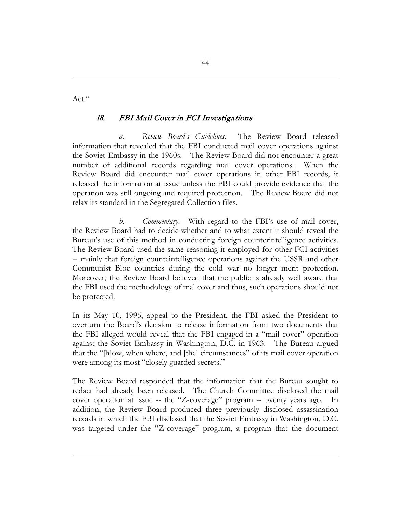Act."

#### 18. FBI Mail Cover in FCI Investigations

*a. Review Board's Guidelines*. The Review Board released information that revealed that the FBI conducted mail cover operations against the Soviet Embassy in the 1960s. The Review Board did not encounter a great number of additional records regarding mail cover operations. When the Review Board did encounter mail cover operations in other FBI records, it released the information at issue unless the FBI could provide evidence that the operation was still ongoing and required protection. The Review Board did not relax its standard in the Segregated Collection files.

*b. Commentary*. With regard to the FBI's use of mail cover, the Review Board had to decide whether and to what extent it should reveal the Bureau's use of this method in conducting foreign counterintelligence activities. The Review Board used the same reasoning it employed for other FCI activities -- mainly that foreign counteintelligence operations against the USSR and other Communist Bloc countries during the cold war no longer merit protection. Moreover, the Review Board believed that the public is already well aware that the FBI used the methodology of mal cover and thus, such operations should not be protected.

In its May 10, 1996, appeal to the President, the FBI asked the President to overturn the Board's decision to release information from two documents that the FBI alleged would reveal that the FBI engaged in a "mail cover" operation against the Soviet Embassy in Washington, D.C. in 1963. The Bureau argued that the "[h]ow, when where, and [the] circumstances" of its mail cover operation were among its most "closely guarded secrets."

The Review Board responded that the information that the Bureau sought to redact had already been released. The Church Committee disclosed the mail cover operation at issue -- the "Z-coverage" program -- twenty years ago. In addition, the Review Board produced three previously disclosed assassination records in which the FBI disclosed that the Soviet Embassy in Washington, D.C. was targeted under the "Z-coverage" program, a program that the document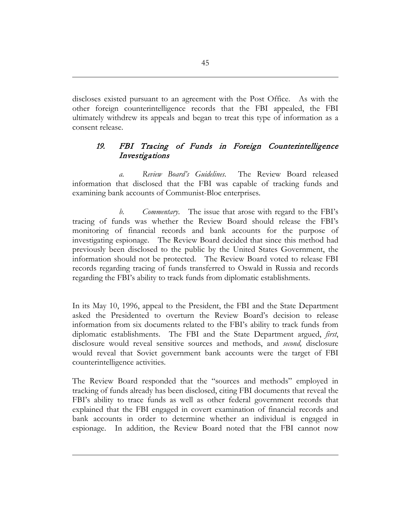discloses existed pursuant to an agreement with the Post Office. As with the other foreign counterintelligence records that the FBI appealed, the FBI ultimately withdrew its appeals and began to treat this type of information as a consent release.

## 19. FBI Tracing of Funds in Foreign Counterintelligence **Investigations**

*a. Review Board's Guidelines*. The Review Board released information that disclosed that the FBI was capable of tracking funds and examining bank accounts of Communist-Bloc enterprises.

*b. Commentary*. The issue that arose with regard to the FBI's tracing of funds was whether the Review Board should release the FBI's monitoring of financial records and bank accounts for the purpose of investigating espionage. The Review Board decided that since this method had previously been disclosed to the public by the United States Government, the information should not be protected. The Review Board voted to release FBI records regarding tracing of funds transferred to Oswald in Russia and records regarding the FBI's ability to track funds from diplomatic establishments.

In its May 10, 1996, appeal to the President, the FBI and the State Department asked the Presidented to overturn the Review Board's decision to release information from six documents related to the FBI's ability to track funds from diplomatic establishments. The FBI and the State Department argued, *first*, disclosure would reveal sensitive sources and methods, and *second,* disclosure would reveal that Soviet government bank accounts were the target of FBI counterintelligence activities.

The Review Board responded that the "sources and methods" employed in tracking of funds already has been disclosed, citing FBI documents that reveal the FBI's ability to trace funds as well as other federal government records that explained that the FBI engaged in covert examination of financial records and bank accounts in order to determine whether an individual is engaged in espionage. In addition, the Review Board noted that the FBI cannot now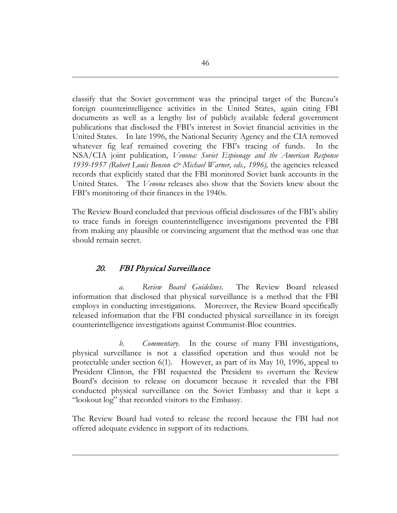classify that the Soviet government was the principal target of the Bureau's foreign counterintelligence activities in the United States, again citing FBI documents as well as a lengthy list of publicly available federal government publications that disclosed the FBI's interest in Soviet financial activities in the United States. In late 1996, the National Security Agency and the CIA removed whatever fig leaf remained covering the FBI's tracing of funds. In the NSA/CIA joint publication, *Venona: Soviet Espionage and the American Response*  1939-1957 (Robert Louis Benson & Michael Warner, eds., 1996), the agencies released records that explicitly stated that the FBI monitored Soviet bank accounts in the United States. The *Venona* releases also show that the Soviets knew about the FBI's monitoring of their finances in the 1940s.

The Review Board concluded that previous official disclosures of the FBI's ability to trace funds in foreign counterintelligence investigations prevented the FBI from making any plausible or convincing argument that the method was one that should remain secret.

#### 20. FBI Physical Surveillance

*a. Review Board Guidelines*. The Review Board released information that disclosed that physical surveillance is a method that the FBI employs in conducting investigations. Moreover, the Review Board specifically released information that the FBI conducted physical surveillance in its foreign counterintelligence investigations against Communist-Bloc countries.

*b. Commentary*. In the course of many FBI investigations, physical surveillance is not a classified operation and thus would not be protectable under section 6(1). However, as part of its May 10, 1996, appeal to President Clinton, the FBI requested the President to overturn the Review Board's decision to release on document because it revealed that the FBI conducted physical surveillance on the Soviet Embassy and that it kept a "lookout log" that recorded visitors to the Embassy.

The Review Board had voted to release the record because the FBI had not offered adequate evidence in support of its redactions.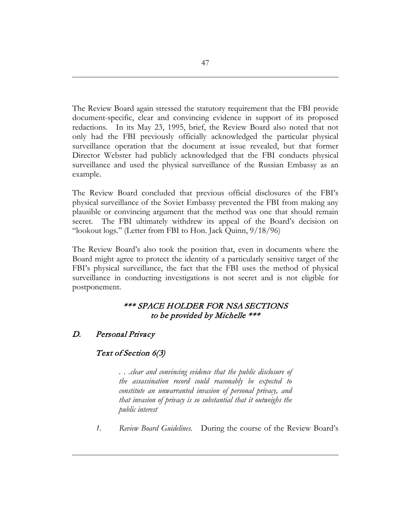The Review Board again stressed the statutory requirement that the FBI provide document-specific, clear and convincing evidence in support of its proposed redactions. In its May 23, 1995, brief, the Review Board also noted that not only had the FBI previously officially acknowledged the particular physical surveillance operation that the document at issue revealed, but that former Director Webster had publicly acknowledged that the FBI conducts physical surveillance and used the physical surveillance of the Russian Embassy as an example.

The Review Board concluded that previous official disclosures of the FBI's physical surveillance of the Soviet Embassy prevented the FBI from making any plausible or convincing argument that the method was one that should remain secret. The FBI ultimately withdrew its appeal of the Board's decision on "lookout logs." (Letter from FBI to Hon. Jack Quinn, 9/18/96)

The Review Board's also took the position that, even in documents where the Board might agree to protect the identity of a particularly sensitive target of the FBI's physical surveillance, the fact that the FBI uses the method of physical surveillance in conducting investigations is not secret and is not eligible for postponement.

# \*\*\* SPACE HOLDER FOR NSA SECTIONS to be provided by Michelle \*\*\*

# D. Personal Privacy

# Text of Section 6(3)

*. . .clear and convincing evidence that the public disclosure of the assassination record could reasonably be expected to constitute an unwarranted invasion of personal privacy, and that invasion of privacy is so substantial that it outweighs the public interest*

*1. Review Board Guidelines.* During the course of the Review Board's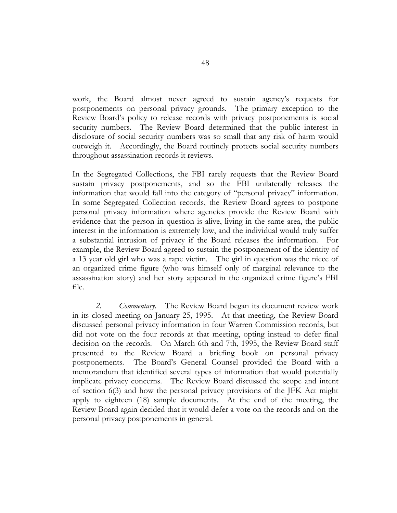work, the Board almost never agreed to sustain agency's requests for postponements on personal privacy grounds. The primary exception to the Review Board's policy to release records with privacy postponements is social security numbers. The Review Board determined that the public interest in disclosure of social security numbers was so small that any risk of harm would outweigh it. Accordingly, the Board routinely protects social security numbers throughout assassination records it reviews.

In the Segregated Collections, the FBI rarely requests that the Review Board sustain privacy postponements, and so the FBI unilaterally releases the information that would fall into the category of "personal privacy" information. In some Segregated Collection records, the Review Board agrees to postpone personal privacy information where agencies provide the Review Board with evidence that the person in question is alive, living in the same area, the public interest in the information is extremely low, and the individual would truly suffer a substantial intrusion of privacy if the Board releases the information. For example, the Review Board agreed to sustain the postponement of the identity of a 13 year old girl who was a rape victim. The girl in question was the niece of an organized crime figure (who was himself only of marginal relevance to the assassination story) and her story appeared in the organized crime figure's FBI file.

*2. Commentary*. The Review Board began its document review work in its closed meeting on January 25, 1995. At that meeting, the Review Board discussed personal privacy information in four Warren Commission records, but did not vote on the four records at that meeting, opting instead to defer final decision on the records. On March 6th and 7th, 1995, the Review Board staff presented to the Review Board a briefing book on personal privacy postponements. The Board's General Counsel provided the Board with a memorandum that identified several types of information that would potentially implicate privacy concerns. The Review Board discussed the scope and intent of section 6(3) and how the personal privacy provisions of the JFK Act might apply to eighteen (18) sample documents. At the end of the meeting, the Review Board again decided that it would defer a vote on the records and on the personal privacy postponements in general.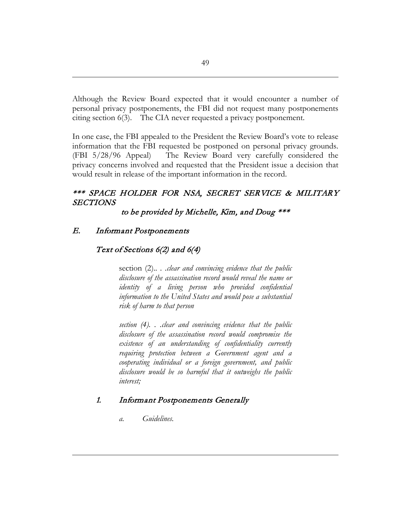Although the Review Board expected that it would encounter a number of personal privacy postponements, the FBI did not request many postponements citing section 6(3). The CIA never requested a privacy postponement.

In one case, the FBI appealed to the President the Review Board's vote to release information that the FBI requested be postponed on personal privacy grounds. (FBI 5/28/96 Appeal) The Review Board very carefully considered the privacy concerns involved and requested that the President issue a decision that would result in release of the important information in the record.

## \*\*\* SPACE HOLDER FOR NSA, SECRET SERVICE & MILITARY **SECTIONS**

to be provided by Michelle, Kim, and Doug \*\*\*

## E. Informant Postponements

# Text of Sections 6(2) and 6(4)

section (2).*. . .clear and convincing evidence that the public disclosure of the assassination record would reveal the name or identity of a living person who provided confidential information to the United States and would pose a substantial risk of harm to that person*

*section (4). . .clear and convincing evidence that the public disclosure of the assassination record would compromise the existence of an understanding of confidentiality currently requiring protection between a Government agent and a cooperating individual or a foreign government, and public disclosure would be so harmful that it outweighs the public interest;*

### 1. Informant Postponements Generally

*a. Guidelines.*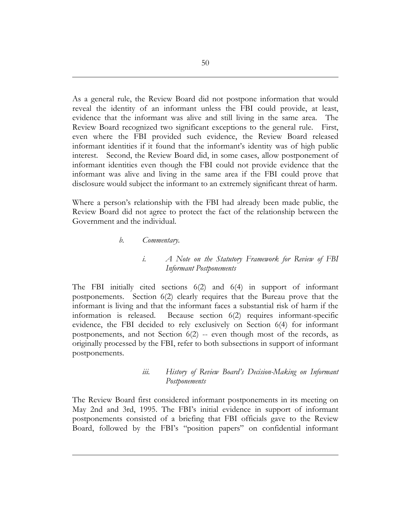As a general rule, the Review Board did not postpone information that would reveal the identity of an informant unless the FBI could provide, at least, evidence that the informant was alive and still living in the same area. The Review Board recognized two significant exceptions to the general rule. First, even where the FBI provided such evidence, the Review Board released informant identities if it found that the informant's identity was of high public interest. Second, the Review Board did, in some cases, allow postponement of informant identities even though the FBI could not provide evidence that the informant was alive and living in the same area if the FBI could prove that disclosure would subject the informant to an extremely significant threat of harm.

Where a person's relationship with the FBI had already been made public, the Review Board did not agree to protect the fact of the relationship between the Government and the individual.

*b. Commentary.*

#### *i. A Note on the Statutory Framework for Review of FBI Informant Postponements*

The FBI initially cited sections 6(2) and 6(4) in support of informant postponements. Section 6(2) clearly requires that the Bureau prove that the informant is living and that the informant faces a substantial risk of harm if the information is released. Because section 6(2) requires informant-specific evidence, the FBI decided to rely exclusively on Section 6(4) for informant postponements, and not Section 6(2) -- even though most of the records, as originally processed by the FBI, refer to both subsections in support of informant postponements.

#### *iii. History of Review Board's Decision-Making on Informant Postponements*

The Review Board first considered informant postponements in its meeting on May 2nd and 3rd, 1995. The FBI's initial evidence in support of informant postponements consisted of a briefing that FBI officials gave to the Review Board, followed by the FBI's "position papers" on confidential informant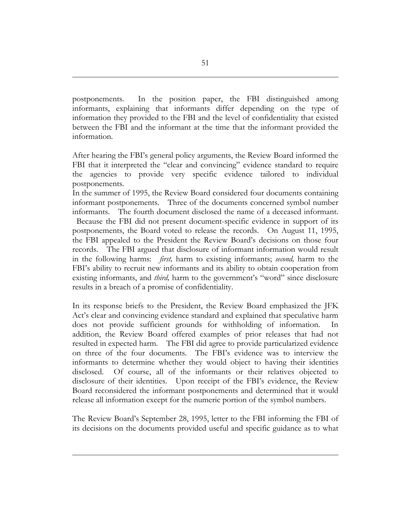postponements. In the position paper, the FBI distinguished among informants, explaining that informants differ depending on the type of information they provided to the FBI and the level of confidentiality that existed between the FBI and the informant at the time that the informant provided the information.

After hearing the FBI's general policy arguments, the Review Board informed the FBI that it interpreted the "clear and convincing" evidence standard to require the agencies to provide very specific evidence tailored to individual postponements.

In the summer of 1995, the Review Board considered four documents containing informant postponements. Three of the documents concerned symbol number informants. The fourth document disclosed the name of a deceased informant.

Because the FBI did not present document-specific evidence in support of its postponements, the Board voted to release the records. On August 11, 1995, the FBI appealed to the President the Review Board's decisions on those four records. The FBI argued that disclosure of informant information would result in the following harms: *first,* harm to existing informants; *second,* harm to the FBI's ability to recruit new informants and its ability to obtain cooperation from existing informants, and *third,* harm to the government's "word" since disclosure results in a breach of a promise of confidentiality.

In its response briefs to the President, the Review Board emphasized the JFK Act's clear and convincing evidence standard and explained that speculative harm does not provide sufficient grounds for withholding of information. addition, the Review Board offered examples of prior releases that had not resulted in expected harm. The FBI did agree to provide particularized evidence on three of the four documents. The FBI's evidence was to interview the informants to determine whether they would object to having their identities disclosed. Of course, all of the informants or their relatives objected to disclosure of their identities. Upon receipt of the FBI's evidence, the Review Board reconsidered the informant postponements and determined that it would release all information except for the numeric portion of the symbol numbers.

The Review Board's September 28, 1995, letter to the FBI informing the FBI of its decisions on the documents provided useful and specific guidance as to what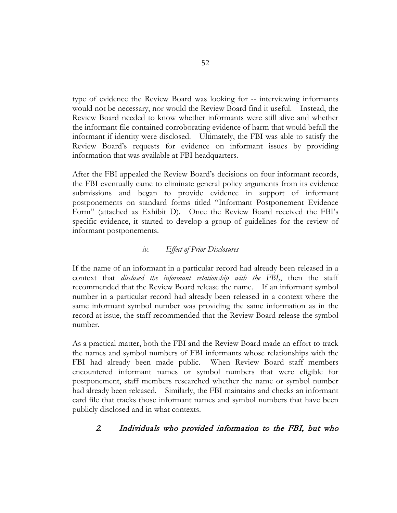type of evidence the Review Board was looking for -- interviewing informants would not be necessary, nor would the Review Board find it useful. Instead, the Review Board needed to know whether informants were still alive and whether the informant file contained corroborating evidence of harm that would befall the informant if identity were disclosed. Ultimately, the FBI was able to satisfy the Review Board's requests for evidence on informant issues by providing information that was available at FBI headquarters.

After the FBI appealed the Review Board's decisions on four informant records, the FBI eventually came to eliminate general policy arguments from its evidence submissions and began to provide evidence in support of informant postponements on standard forms titled "Informant Postponement Evidence Form" (attached as Exhibit D). Once the Review Board received the FBI's specific evidence, it started to develop a group of guidelines for the review of informant postponements.

## *iv. Effect of Prior Disclosures*

If the name of an informant in a particular record had already been released in a context that *disclosed the informant relationship with the FBI,*, then the staff recommended that the Review Board release the name. If an informant symbol number in a particular record had already been released in a context where the same informant symbol number was providing the same information as in the record at issue, the staff recommended that the Review Board release the symbol number.

As a practical matter, both the FBI and the Review Board made an effort to track the names and symbol numbers of FBI informants whose relationships with the FBI had already been made public. When Review Board staff members encountered informant names or symbol numbers that were eligible for postponement, staff members researched whether the name or symbol number had already been released. Similarly, the FBI maintains and checks an informant card file that tracks those informant names and symbol numbers that have been publicly disclosed and in what contexts.

# 2. Individuals who provided information to the FBI, but who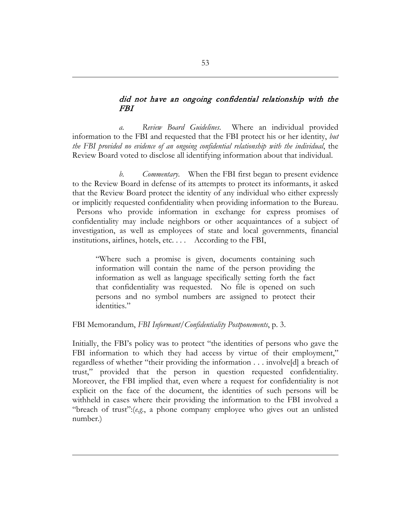## did not have an ongoing confidential relationship with the FBI

*a. Review Board Guidelines*. Where an individual provided information to the FBI and requested that the FBI protect his or her identity, *but the FBI provided no evidence of an ongoing confidential relationship with the individual*, the Review Board voted to disclose all identifying information about that individual.

*b. Commentary*. When the FBI first began to present evidence to the Review Board in defense of its attempts to protect its informants, it asked that the Review Board protect the identity of any individual who either expressly or implicitly requested confidentiality when providing information to the Bureau. Persons who provide information in exchange for express promises of confidentiality may include neighbors or other acquaintances of a subject of investigation, as well as employees of state and local governments, financial institutions, airlines, hotels, etc. . . . According to the FBI,

"Where such a promise is given, documents containing such information will contain the name of the person providing the information as well as language specifically setting forth the fact that confidentiality was requested. No file is opened on such persons and no symbol numbers are assigned to protect their identities."

FBI Memorandum, *FBI Informant/Confidentiality Postponements*, p. 3.

Initially, the FBI's policy was to protect "the identities of persons who gave the FBI information to which they had access by virtue of their employment," regardless of whether "their providing the information . . . involve[d] a breach of trust," provided that the person in question requested confidentiality. Moreover, the FBI implied that, even where a request for confidentiality is not explicit on the face of the document, the identities of such persons will be withheld in cases where their providing the information to the FBI involved a "breach of trust":(*e.g.*, a phone company employee who gives out an unlisted number.)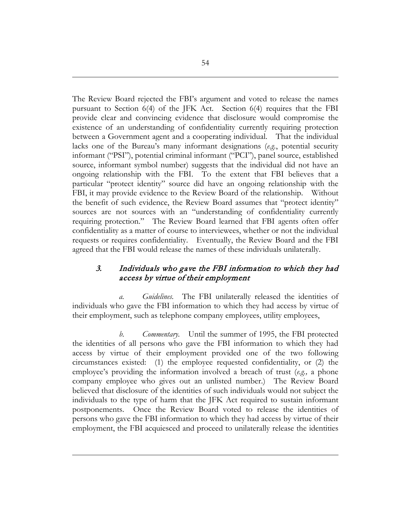The Review Board rejected the FBI's argument and voted to release the names pursuant to Section 6(4) of the JFK Act. Section 6(4) requires that the FBI provide clear and convincing evidence that disclosure would compromise the existence of an understanding of confidentiality currently requiring protection between a Government agent and a cooperating individual. That the individual lacks one of the Bureau's many informant designations (*e.g.*, potential security informant ("PSI"), potential criminal informant ("PCI"), panel source, established source, informant symbol number) suggests that the individual did not have an ongoing relationship with the FBI. To the extent that FBI believes that a particular "protect identity" source did have an ongoing relationship with the FBI, it may provide evidence to the Review Board of the relationship. Without the benefit of such evidence, the Review Board assumes that "protect identity" sources are not sources with an "understanding of confidentiality currently requiring protection." The Review Board learned that FBI agents often offer confidentiality as a matter of course to interviewees, whether or not the individual requests or requires confidentiality. Eventually, the Review Board and the FBI agreed that the FBI would release the names of these individuals unilaterally.

#### 3. Individuals who gave the FBI information to which they had access by virtue of their employment

*a. Guidelines.* The FBI unilaterally released the identities of individuals who gave the FBI information to which they had access by virtue of their employment, such as telephone company employees, utility employees,

*b. Commentary.* Until the summer of 1995, the FBI protected the identities of all persons who gave the FBI information to which they had access by virtue of their employment provided one of the two following circumstances existed: (1) the employee requested confidentiality, or (2) the employee's providing the information involved a breach of trust (*e.g.,* a phone company employee who gives out an unlisted number.) The Review Board believed that disclosure of the identities of such individuals would not subject the individuals to the type of harm that the JFK Act required to sustain informant postponements. Once the Review Board voted to release the identities of persons who gave the FBI information to which they had access by virtue of their employment, the FBI acquiesced and proceed to unilaterally release the identities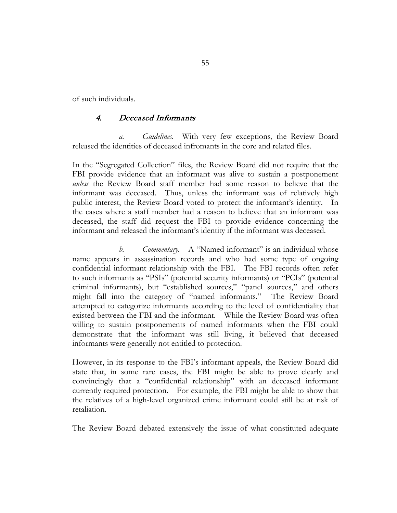of such individuals.

#### 4. Deceased Informants

*a. Guidelines.* With very few exceptions, the Review Board released the identities of deceased infromants in the core and related files.

In the "Segregated Collection" files, the Review Board did not require that the FBI provide evidence that an informant was alive to sustain a postponement *unless* the Review Board staff member had some reason to believe that the informant was deceased. Thus, unless the informant was of relatively high public interest, the Review Board voted to protect the informant's identity. In the cases where a staff member had a reason to believe that an informant was deceased, the staff did request the FBI to provide evidence concerning the informant and released the informant's identity if the informant was deceased.

*b. Commentary.* A "Named informant" is an individual whose name appears in assassination records and who had some type of ongoing confidential informant relationship with the FBI. The FBI records often refer to such informants as "PSIs" (potential security informants) or "PCIs" (potential criminal informants), but "established sources," "panel sources," and others might fall into the category of "named informants." The Review Board attempted to categorize informants according to the level of confidentiality that existed between the FBI and the informant. While the Review Board was often willing to sustain postponements of named informants when the FBI could demonstrate that the informant was still living, it believed that deceased informants were generally not entitled to protection.

However, in its response to the FBI's informant appeals, the Review Board did state that, in some rare cases, the FBI might be able to prove clearly and convincingly that a "confidential relationship" with an deceased informant currently required protection. For example, the FBI might be able to show that the relatives of a high-level organized crime informant could still be at risk of retaliation.

The Review Board debated extensively the issue of what constituted adequate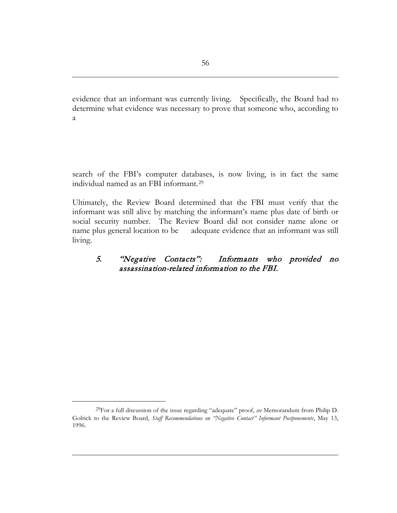evidence that an informant was currently living. Specifically, the Board had to determine what evidence was necessary to prove that someone who, according to a

search of the FBI's computer databases, is now living, is in fact the same individual named as an FBI informant.[29](#page-55-0)

Ultimately, the Review Board determined that the FBI must verify that the informant was still alive by matching the informant's name plus date of birth or social security number. The Review Board did not consider name alone or name plus general location to be adequate evidence that an informant was still living.

# 5. "Negative Contacts": Informants who provided no assassination-related information to the FBI.

<span id="page-55-0"></span><sup>29</sup>For a full discussion of the issue regarding "adequate" proof, *see* Memorandum from Philip D. Golrick to the Review Board, *Staff Recommendations on "Negative Contact" Informant Postponements*, May 13, 1996.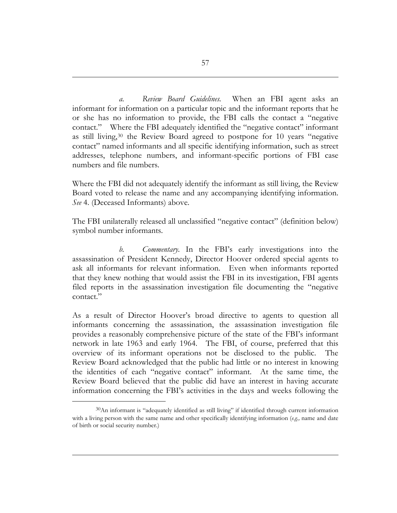*a. Review Board Guidelines.* When an FBI agent asks an informant for information on a particular topic and the informant reports that he or she has no information to provide, the FBI calls the contact a "negative contact." Where the FBI adequately identified the "negative contact" informant as still living,[30](#page-56-0) the Review Board agreed to postpone for 10 years "negative contact" named informants and all specific identifying information, such as street addresses, telephone numbers, and informant-specific portions of FBI case numbers and file numbers.

Where the FBI did not adequately identify the informant as still living, the Review Board voted to release the name and any accompanying identifying information. *See* 4. (Deceased Informants) above.

The FBI unilaterally released all unclassified "negative contact" (definition below) symbol number informants.

*b. Commentary.* In the FBI's early investigations into the assassination of President Kennedy, Director Hoover ordered special agents to ask all informants for relevant information. Even when informants reported that they knew nothing that would assist the FBI in its investigation, FBI agents filed reports in the assassination investigation file documenting the "negative contact."

As a result of Director Hoover's broad directive to agents to question all informants concerning the assassination, the assassination investigation file provides a reasonably comprehensive picture of the state of the FBI's informant network in late 1963 and early 1964. The FBI, of course, preferred that this overview of its informant operations not be disclosed to the public. The Review Board acknowledged that the public had little or no interest in knowing the identities of each "negative contact" informant. At the same time, the Review Board believed that the public did have an interest in having accurate information concerning the FBI's activities in the days and weeks following the

<span id="page-56-0"></span><sup>30</sup>An informant is "adequately identified as still living" if identified through current information with a living person with the same name and other specifically identifying information (*e.g.,* name and date of birth or social security number.)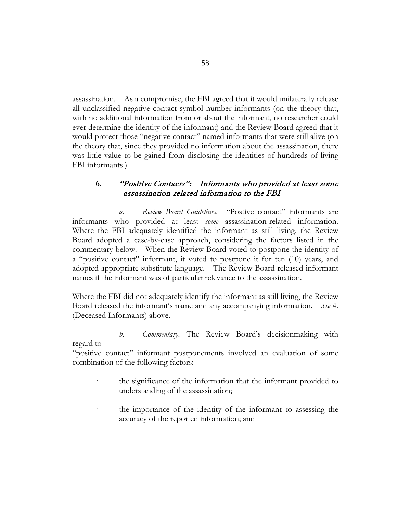assassination. As a compromise, the FBI agreed that it would unilaterally release all unclassified negative contact symbol number informants (on the theory that, with no additional information from or about the informant, no researcher could ever determine the identity of the informant) and the Review Board agreed that it would protect those "negative contact" named informants that were still alive (on the theory that, since they provided no information about the assassination, there was little value to be gained from disclosing the identities of hundreds of living FBI informants.)

#### **6.** "Positive Contacts": Informants who provided at least some assassination-related information to the FBI

*a. Review Board Guidelines*. "Postive contact" informants are informants who provided at least *some* assassination-related information. Where the FBI adequately identified the informant as still living, the Review Board adopted a case-by-case approach, considering the factors listed in the commentary below. When the Review Board voted to postpone the identity of a "positive contact" informant, it voted to postpone it for ten (10) years, and adopted appropriate substitute language. The Review Board released informant names if the informant was of particular relevance to the assassination.

Where the FBI did not adequately identify the informant as still living, the Review Board released the informant's name and any accompanying information. *See* 4. (Deceased Informants) above.

*b. Commentary*. The Review Board's decisionmaking with

regard to

"positive contact" informant postponements involved an evaluation of some combination of the following factors:

- the significance of the information that the informant provided to understanding of the assassination;
- · the importance of the identity of the informant to assessing the accuracy of the reported information; and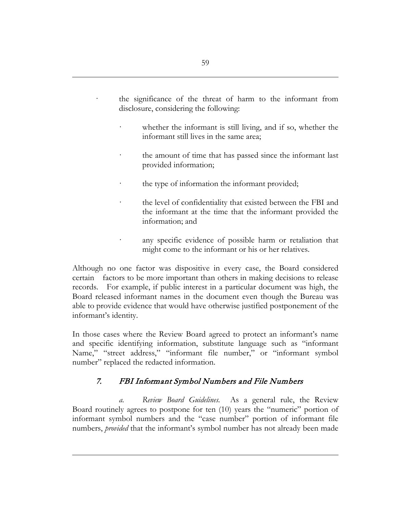- the significance of the threat of harm to the informant from disclosure, considering the following:
	- whether the informant is still living, and if so, whether the informant still lives in the same area;
	- the amount of time that has passed since the informant last provided information;
	- the type of information the informant provided;
	- the level of confidentiality that existed between the FBI and the informant at the time that the informant provided the information; and
		- any specific evidence of possible harm or retaliation that might come to the informant or his or her relatives.

Although no one factor was dispositive in every case, the Board considered certain factors to be more important than others in making decisions to release records. For example, if public interest in a particular document was high, the Board released informant names in the document even though the Bureau was able to provide evidence that would have otherwise justified postponement of the informant's identity.

In those cases where the Review Board agreed to protect an informant's name and specific identifying information, substitute language such as "informant Name," "street address," "informant file number," or "informant symbol number" replaced the redacted information.

# 7. FBI Informant Symbol Numbers and File Numbers

*a. Review Board Guidelines.* As a general rule, the Review Board routinely agrees to postpone for ten (10) years the "numeric" portion of informant symbol numbers and the "case number" portion of informant file numbers, *provided* that the informant's symbol number has not already been made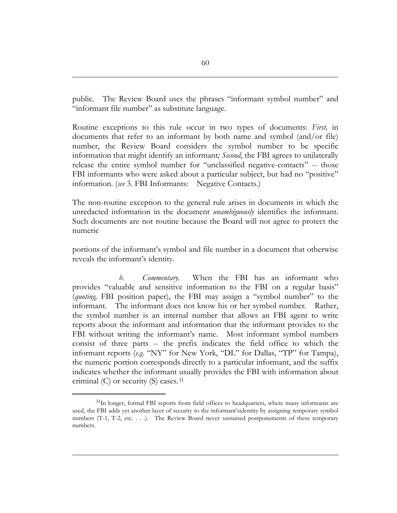public. The Review Board uses the phrases "informant symbol number" and "informant file number" as substitute language.

Routine exceptions to this rule occur in two types of documents: *First,* in documents that refer to an informant by both name and symbol (and/or file) number, the Review Board considers the symbol number to be specific information that might identify an informant*; Second*, the FBI agrees to unilaterally release the entire symbol number for "unclassified negative-contacts" -- those FBI informants who were asked about a particular subject, but had no "positive" information. (*see* 3. FBI Informants: Negative Contacts.)

The non-routine exception to the general rule arises in documents in which the unredacted information in the document *unambiguously* identifies the informant. Such documents are not routine because the Board will not agree to protect the numeric

portions of the informant's symbol and file number in a document that otherwise reveals the informant's identity.

*b. Commentary.* When the FBI has an informant who provides "valuable and sensitive information to the FBI on a regular basis" (*quoting,* FBI position paper), the FBI may assign a "symbol number" to the informant. The informant does not know his or her symbol number. Rather, the symbol number is an internal number that allows an FBI agent to write reports about the informant and information that the informant provides to the FBI without writing the informant's name. Most informant symbol numbers consist of three parts -- the prefix indicates the field office to which the informant reports (*e.g.* "NY" for New York, "DL" for Dallas, "TP" for Tampa), the numeric portion corresponds directly to a particular informant, and the suffix indicates whether the informant usually provides the FBI with information about criminal  $(C)$  or security  $(S)$  cases.<sup>[31](#page-59-0)</sup>

<span id="page-59-0"></span> $31$ In longer, formal FBI reports from field offices to headquarters, where many informants are used, the FBI adds yet another layer of security to the informant'sidentity by assigning temporary symbol numbers (T-1, T-2, etc. . . .). The Review Board never sustained postponements of these temporary numbers.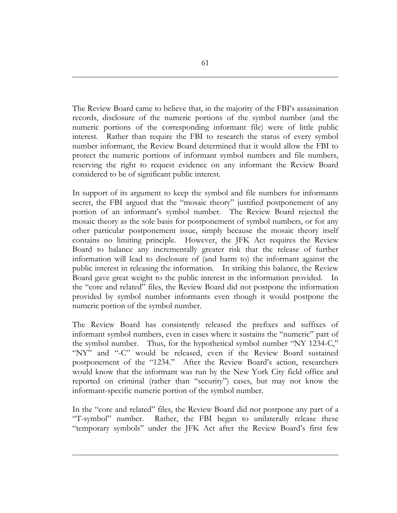The Review Board came to believe that, in the majority of the FBI's assassination records, disclosure of the numeric portions of the symbol number (and the numeric portions of the corresponding informant file) were of little public interest. Rather than require the FBI to research the status of every symbol number informant, the Review Board determined that it would allow the FBI to protect the numeric portions of informant symbol numbers and file numbers, reserving the right to request evidence on any informant the Review Board considered to be of significant public interest.

In support of its argument to keep the symbol and file numbers for informants secret, the FBI argued that the "mosaic theory" justified postponement of any portion of an informant's symbol number. The Review Board rejected the mosaic theory as the sole basis for postponement of symbol numbers, or for any other particular postponement issue, simply because the mosaic theory itself contains no limiting principle. However, the JFK Act requires the Review Board to balance any incrementally greater risk that the release of further information will lead to disclosure of (and harm to) the informant against the public interest in releasing the information. In striking this balance, the Review Board gave great weight to the public interest in the information provided. In the "core and related" files, the Review Board did not postpone the information provided by symbol number informants even though it would postpone the numeric portion of the symbol number.

The Review Board has consistently released the prefixes and suffixes of informant symbol numbers, even in cases where it sustains the "numeric" part of the symbol number. Thus, for the hypothetical symbol number "NY 1234-C," "NY" and "-C" would be released, even if the Review Board sustained postponement of the "1234." After the Review Board's action, researchers would know that the informant was run by the New York City field office and reported on criminal (rather than "security") cases, but may not know the informant-specific numeric portion of the symbol number.

In the "core and related" files, the Review Board did not postpone any part of a "T-symbol" number. Rather, the FBI began to unilaterally release these "temporary symbols" under the JFK Act after the Review Board's first few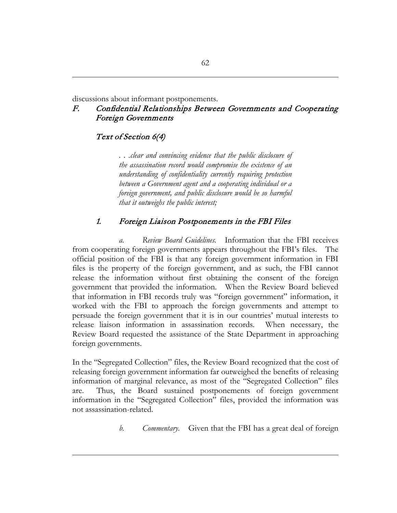discussions about informant postponements.

# F. Confidential Relationships Between Governments and Cooperating Foreign Governments

# Text of Section 6(4)

*. . .clear and convincing evidence that the public disclosure of the assassination record would compromise the existence of an understanding of confidentiality currently requiring protection between a Government agent and a cooperating individual or a foreign government, and public disclosure would be so harmful that it outweighs the public interest;*

# 1. Foreign Liaison Postponements in the FBI Files

*a. Review Board Guidelines.* Information that the FBI receives from cooperating foreign governments appears throughout the FBI's files. The official position of the FBI is that any foreign government information in FBI files is the property of the foreign government, and as such, the FBI cannot release the information without first obtaining the consent of the foreign government that provided the information. When the Review Board believed that information in FBI records truly was "foreign government" information, it worked with the FBI to approach the foreign governments and attempt to persuade the foreign government that it is in our countries' mutual interests to release liaison information in assassination records. When necessary, the Review Board requested the assistance of the State Department in approaching foreign governments.

In the "Segregated Collection" files, the Review Board recognized that the cost of releasing foreign government information far outweighed the benefits of releasing information of marginal relevance, as most of the "Segregated Collection" files are. Thus, the Board sustained postponements of foreign government information in the "Segregated Collection" files, provided the information was not assassination-related.

*b. Commentary.* Given that the FBI has a great deal of foreign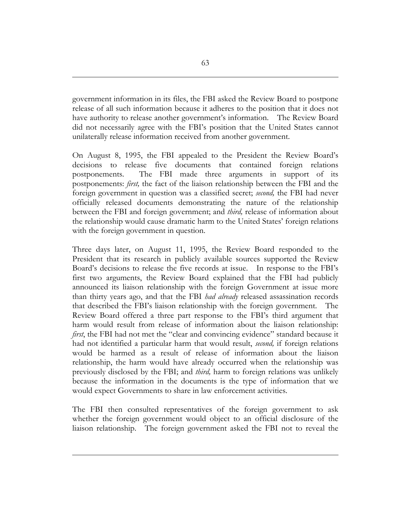government information in its files, the FBI asked the Review Board to postpone release of all such information because it adheres to the position that it does not have authority to release another government's information. The Review Board did not necessarily agree with the FBI's position that the United States cannot unilaterally release information received from another government.

On August 8, 1995, the FBI appealed to the President the Review Board's decisions to release five documents that contained foreign relations postponements. The FBI made three arguments in support of its postponements: *first,* the fact of the liaison relationship between the FBI and the foreign government in question was a classified secret; *second,* the FBI had never officially released documents demonstrating the nature of the relationship between the FBI and foreign government; and *third,* release of information about the relationship would cause dramatic harm to the United States' foreign relations with the foreign government in question.

Three days later, on August 11, 1995, the Review Board responded to the President that its research in publicly available sources supported the Review Board's decisions to release the five records at issue. In response to the FBI's first two arguments, the Review Board explained that the FBI had publicly announced its liaison relationship with the foreign Government at issue more than thirty years ago, and that the FBI *had already* released assassination records that described the FBI's liaison relationship with the foreign government. The Review Board offered a three part response to the FBI's third argument that harm would result from release of information about the liaison relationship: *first*, the FBI had not met the "clear and convincing evidence" standard because it had not identified a particular harm that would result, *second,* if foreign relations would be harmed as a result of release of information about the liaison relationship, the harm would have already occurred when the relationship was previously disclosed by the FBI; and *third,* harm to foreign relations was unlikely because the information in the documents is the type of information that we would expect Governments to share in law enforcement activities.

The FBI then consulted representatives of the foreign government to ask whether the foreign government would object to an official disclosure of the liaison relationship. The foreign government asked the FBI not to reveal the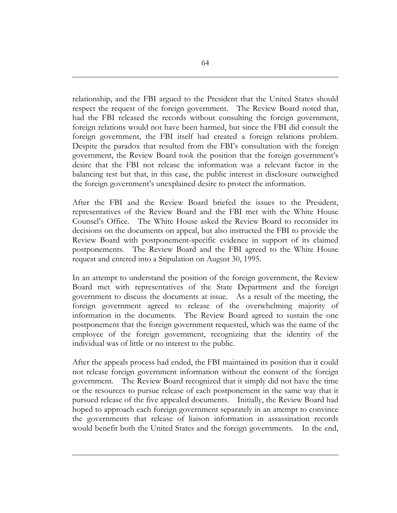relationship, and the FBI argued to the President that the United States should respect the request of the foreign government. The Review Board noted that, had the FBI released the records without consulting the foreign government, foreign relations would not have been harmed, but since the FBI did consult the foreign government, the FBI itself had created a foreign relations problem. Despite the paradox that resulted from the FBI's consultation with the foreign government, the Review Board took the position that the foreign government's desire that the FBI not release the information was a relevant factor in the balancing test but that, in this case, the public interest in disclosure outweighed the foreign government's unexplained desire to protect the information.

After the FBI and the Review Board briefed the issues to the President, representatives of the Review Board and the FBI met with the White House Counsel's Office. The White House asked the Review Board to reconsider its decisions on the documents on appeal, but also instructed the FBI to provide the Review Board with postponement-specific evidence in support of its claimed postponements. The Review Board and the FBI agreed to the White House request and entered into a Stipulation on August 30, 1995.

In an attempt to understand the position of the foreign government, the Review Board met with representatives of the State Department and the foreign government to discuss the documents at issue. As a result of the meeting, the foreign government agreed to release of the overwhelming majority of information in the documents. The Review Board agreed to sustain the one postponement that the foreign government requested, which was the name of the employee of the foreign government, recognizing that the identity of the individual was of little or no interest to the public.

After the appeals process had ended, the FBI maintained its position that it could not release foreign government information without the consent of the foreign government. The Review Board recognized that it simply did not have the time or the resources to pursue release of each postponement in the same way that it pursued release of the five appealed documents. Initially, the Review Board had hoped to approach each foreign government separately in an attempt to convince the governments that release of liaison information in assassination records would benefit both the United States and the foreign governments. In the end,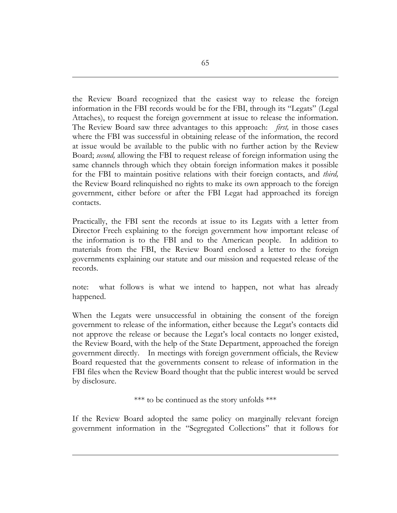the Review Board recognized that the easiest way to release the foreign information in the FBI records would be for the FBI, through its "Legats" (Legal Attaches), to request the foreign government at issue to release the information. The Review Board saw three advantages to this approach: *first,* in those cases where the FBI was successful in obtaining release of the information, the record at issue would be available to the public with no further action by the Review Board; *second,* allowing the FBI to request release of foreign information using the same channels through which they obtain foreign information makes it possible for the FBI to maintain positive relations with their foreign contacts, and *third,* the Review Board relinquished no rights to make its own approach to the foreign government, either before or after the FBI Legat had approached its foreign contacts.

Practically, the FBI sent the records at issue to its Legats with a letter from Director Freeh explaining to the foreign government how important release of the information is to the FBI and to the American people. In addition to materials from the FBI, the Review Board enclosed a letter to the foreign governments explaining our statute and our mission and requested release of the records.

note: what follows is what we intend to happen, not what has already happened.

When the Legats were unsuccessful in obtaining the consent of the foreign government to release of the information, either because the Legat's contacts did not approve the release or because the Legat's local contacts no longer existed, the Review Board, with the help of the State Department, approached the foreign government directly. In meetings with foreign government officials, the Review Board requested that the governments consent to release of information in the FBI files when the Review Board thought that the public interest would be served by disclosure.

\*\*\* to be continued as the story unfolds \*\*\*

If the Review Board adopted the same policy on marginally relevant foreign government information in the "Segregated Collections" that it follows for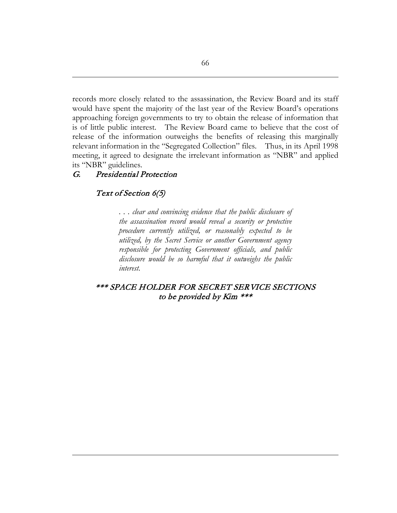records more closely related to the assassination, the Review Board and its staff would have spent the majority of the last year of the Review Board's operations approaching foreign governments to try to obtain the release of information that is of little public interest. The Review Board came to believe that the cost of release of the information outweighs the benefits of releasing this marginally relevant information in the "Segregated Collection" files. Thus, in its April 1998 meeting, it agreed to designate the irrelevant information as "NBR" and applied its "NBR" guidelines.

## G. Presidential Protection

#### Text of Section 6(5)

*. . . clear and convincing evidence that the public disclosure of the assassination record would reveal a security or protective procedure currently utilized, or reasonably expected to be utilized, by the Secret Service or another Government agency responsible for protecting Government officials, and public disclosure would be so harmful that it outweighs the public interest.*

### \*\*\* SPACE HOLDER FOR SECRET SERVICE SECTIONS to be provided by Kim \*\*\*